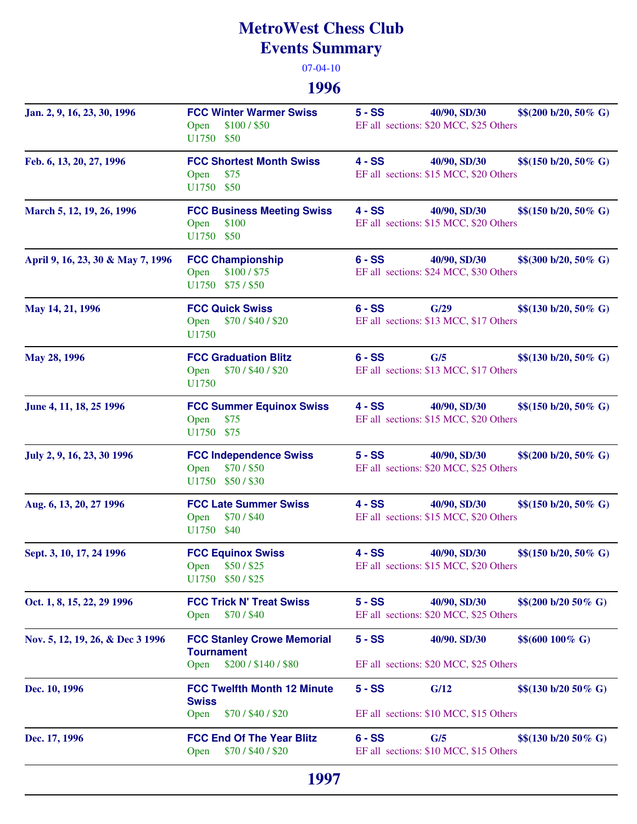## **MetroWest Chess Club Events Summary**

07-04-10

## **1996**

| Jan. 2, 9, 16, 23, 30, 1996       | <b>FCC Winter Warmer Swiss</b><br>\$100 / \$50<br>Open<br>U1750 \$50               | $5 - SS$<br>40/90, SD/30<br>$$$(200 b/20, 50\% G)$<br>EF all sections: \$20 MCC, \$25 Others |
|-----------------------------------|------------------------------------------------------------------------------------|----------------------------------------------------------------------------------------------|
| Feb. 6, 13, 20, 27, 1996          | <b>FCC Shortest Month Swiss</b><br>\$75<br>Open<br>U1750 \$50                      | $4 - SS$<br>40/90, SD/30<br>$$(150 b/20, 50\% G)$<br>EF all sections: \$15 MCC, \$20 Others  |
| March 5, 12, 19, 26, 1996         | <b>FCC Business Meeting Swiss</b><br>\$100<br>Open<br>U1750 \$50                   | 40/90, SD/30<br>$4 - SS$<br>$$$(150 b/20, 50\% G)$<br>EF all sections: \$15 MCC, \$20 Others |
| April 9, 16, 23, 30 & May 7, 1996 | <b>FCC Championship</b><br>\$100 / \$75<br>Open<br>U1750 \$75/\$50                 | $6 - SS$<br>40/90, SD/30<br>$$$(300 b/20, 50\% G)$<br>EF all sections: \$24 MCC, \$30 Others |
| May 14, 21, 1996                  | <b>FCC Quick Swiss</b><br>\$70 / \$40 / \$20<br>Open<br>U1750                      | $6 - SS$<br>G/29<br>$$$(130 b/20, 50\% G)$<br>EF all sections: \$13 MCC, \$17 Others         |
| May 28, 1996                      | <b>FCC Graduation Blitz</b><br>\$70/\$40/\$20<br>Open<br>U1750                     | $6 - SS$<br>G/5<br>$$$(130 b/20, 50\% G)$<br>EF all sections: \$13 MCC, \$17 Others          |
| June 4, 11, 18, 25 1996           | <b>FCC Summer Equinox Swiss</b><br>\$75<br>Open<br>U1750 \$75                      | $4 - SS$<br>40/90, SD/30<br>$$$(150 b/20, 50\% G)$<br>EF all sections: \$15 MCC, \$20 Others |
| July 2, 9, 16, 23, 30 1996        | <b>FCC Independence Swiss</b><br>\$70/\$50<br>Open<br>U1750 \$50/\$30              | $5 - SS$<br>40/90, SD/30<br>$$$(200 b/20, 50\% G)$<br>EF all sections: \$20 MCC, \$25 Others |
| Aug. 6, 13, 20, 27 1996           | <b>FCC Late Summer Swiss</b><br>Open<br>\$70/\$40<br>U1750 \$40                    | $4 - SS$<br>40/90, SD/30<br>$$$(150 b/20, 50\% G)$<br>EF all sections: \$15 MCC, \$20 Others |
| Sept. 3, 10, 17, 24 1996          | <b>FCC Equinox Swiss</b><br>Open \$50/\$25<br>U1750 \$50/\$25                      | $4 - SS$<br>40/90, SD/30<br>$$$(150 b/20, 50\% G)$<br>EF all sections: \$15 MCC, \$20 Others |
| Oct. 1, 8, 15, 22, 29 1996        | <b>FCC Trick N' Treat Swiss</b><br>\$70/\$40<br>Open                               | $5 - SS$<br>40/90, SD/30<br>$$$(200 b/20 50\% G)$<br>EF all sections: \$20 MCC, \$25 Others  |
| Nov. 5, 12, 19, 26, & Dec 3 1996  | <b>FCC Stanley Crowe Memorial</b><br><b>Tournament</b><br>\$200/\$140/\$80<br>Open | $5 - SS$<br>\$\$(600 100% G)<br>40/90. SD/30<br>EF all sections: \$20 MCC, \$25 Others       |
| Dec. 10, 1996                     | <b>FCC Twelfth Month 12 Minute</b><br><b>Swiss</b><br>\$70/\$40/\$20<br>Open       | $5 - SS$<br>G/12<br>\$\$(130 b/20 50% G)<br>EF all sections: \$10 MCC, \$15 Others           |
| Dec. 17, 1996                     | <b>FCC End Of The Year Blitz</b><br>\$70/\$40/\$20<br>Open                         | $6 - SS$<br>G/5<br>$$$(130 b/20 50\% G)$<br>EF all sections: \$10 MCC, \$15 Others           |
|                                   | 1997                                                                               |                                                                                              |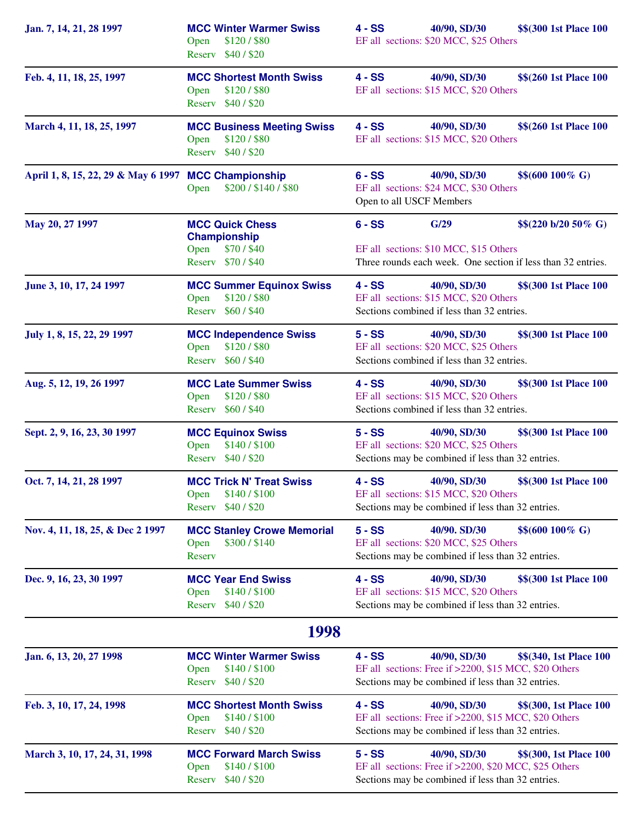| Jan. 7, 14, 21, 28 1997                              | <b>MCC Winter Warmer Swiss</b><br>\$120 / \$80<br>Open<br>Reserv \$40/\$20      | $4 - SS$<br>40/90, SD/30<br>\$\$(300 1st Place 100<br>EF all sections: \$20 MCC, \$25 Others                                                                      |
|------------------------------------------------------|---------------------------------------------------------------------------------|-------------------------------------------------------------------------------------------------------------------------------------------------------------------|
| Feb. 4, 11, 18, 25, 1997                             | <b>MCC Shortest Month Swiss</b><br>\$120 / \$80<br>Open<br>Reserv \$40/\$20     | $4 - SS$<br>\$\$(260 1st Place 100<br>40/90, SD/30<br>EF all sections: \$15 MCC, \$20 Others                                                                      |
| March 4, 11, 18, 25, 1997                            | <b>MCC Business Meeting Swiss</b><br>\$120 / \$80<br>Open<br>Reserv \$40/\$20   | $4 - SS$<br>\$\$(260 1st Place 100<br>40/90, SD/30<br>EF all sections: \$15 MCC, \$20 Others                                                                      |
| April 1, 8, 15, 22, 29 & May 6 1997 MCC Championship | \$200/\$140/\$80<br>Open                                                        | $6 - SS$<br>40/90, SD/30<br>$$$(600100\% G)$<br>EF all sections: \$24 MCC, \$30 Others<br>Open to all USCF Members                                                |
| May 20, 27 1997                                      | <b>MCC Quick Chess</b><br>Championship<br>\$70/\$40<br>Open<br>Reserv \$70/\$40 | G/29<br>$$$(220 b/20 50\% G)$<br>$6 - SS$<br>EF all sections: \$10 MCC, \$15 Others<br>Three rounds each week. One section if less than 32 entries.               |
| June 3, 10, 17, 24 1997                              | <b>MCC Summer Equinox Swiss</b><br>\$120 / \$80<br>Open<br>Reserv \$60/\$40     | $4 - SS$<br>40/90, SD/30<br>\$\$(300 1st Place 100<br>EF all sections: \$15 MCC, \$20 Others<br>Sections combined if less than 32 entries.                        |
| July 1, 8, 15, 22, 29 1997                           | <b>MCC Independence Swiss</b><br>\$120/\$80<br>Open<br>Reserv \$60/\$40         | $5 - SS$<br>\$\$(300 1st Place 100<br>40/90, SD/30<br>EF all sections: \$20 MCC, \$25 Others<br>Sections combined if less than 32 entries.                        |
| Aug. 5, 12, 19, 26 1997                              | <b>MCC Late Summer Swiss</b><br>\$120 / \$80<br>Open<br>Reserv \$60/\$40        | \$\$(300 1st Place 100<br>$4 - SS$<br>40/90, SD/30<br>EF all sections: \$15 MCC, \$20 Others<br>Sections combined if less than 32 entries.                        |
| Sept. 2, 9, 16, 23, 30 1997                          | <b>MCC Equinox Swiss</b><br>\$140 / \$100<br>Open<br>\$40/\$20<br>Reserv        | $5 - SS$<br>\$\$(300 1st Place 100<br>40/90, SD/30<br>EF all sections: \$20 MCC, \$25 Others<br>Sections may be combined if less than 32 entries.                 |
| Oct. 7, 14, 21, 28 1997                              | <b>MCC Trick N' Treat Swiss</b><br>\$140 / \$100<br>Open<br>\$40/\$20<br>Reserv | $4 - SS$<br>40/90, SD/30<br>\$\$(300 1st Place 100<br>EF all sections: \$15 MCC, \$20 Others<br>Sections may be combined if less than 32 entries.                 |
| Nov. 4, 11, 18, 25, & Dec 2 1997                     | <b>MCC Stanley Crowe Memorial</b><br>\$300 / \$140<br>Open<br>Reserv            | 40/90. SD/30<br>\$\$(600 100% G)<br>$5 - SS$<br>EF all sections: \$20 MCC, \$25 Others<br>Sections may be combined if less than 32 entries.                       |
| Dec. 9, 16, 23, 30 1997                              | <b>MCC Year End Swiss</b><br>\$140 / \$100<br>Open<br>\$40/\$20<br>Reserv       | $4 - SS$<br>40/90, SD/30<br>\$\$(300 1st Place 100<br>EF all sections: \$15 MCC, \$20 Others<br>Sections may be combined if less than 32 entries.                 |
|                                                      | 1998                                                                            |                                                                                                                                                                   |
| Jan. 6, 13, 20, 27 1998                              | <b>MCC Winter Warmer Swiss</b><br>\$140/\$100<br>Open<br>\$40/\$20<br>Reserv    | $4 - SS$<br>40/90, SD/30<br>\$\$(340, 1st Place 100<br>EF all sections: Free if >2200, \$15 MCC, \$20 Others<br>Sections may be combined if less than 32 entries. |
| Feb. 3, 10, 17, 24, 1998                             | <b>MCC Shortest Month Swiss</b><br>\$140 / \$100<br>Open<br>\$40/\$20<br>Reserv | 4 - SS<br>40/90, SD/30<br>\$\$(300, 1st Place 100<br>EF all sections: Free if >2200, \$15 MCC, \$20 Others<br>Sections may be combined if less than 32 entries.   |
| March 3, 10, 17, 24, 31, 1998                        | <b>MCC Forward March Swiss</b><br>\$140 / \$100<br>Open<br>\$40/\$20<br>Reserv  | 40/90, SD/30<br>$5 - SS$<br>\$\$(300, 1st Place 100<br>EF all sections: Free if >2200, \$20 MCC, \$25 Others<br>Sections may be combined if less than 32 entries. |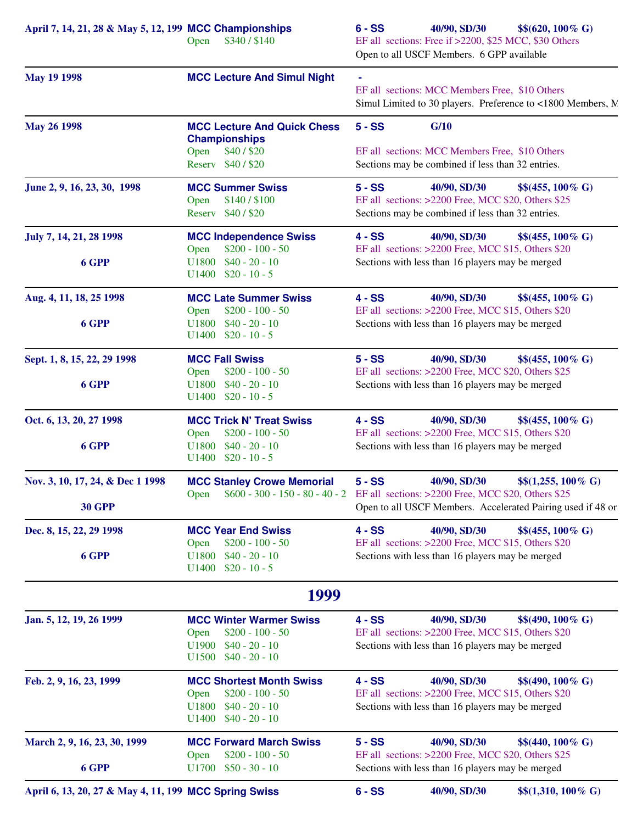| April 7, 14, 21, 28 & May 5, 12, 199 MCC Championships | \$340/\$140<br>Open                                                                                                              | $6 - SS$ | 40/90, SD/30<br>EF all sections: Free if >2200, \$25 MCC, \$30 Others<br>Open to all USCF Members. 6 GPP available      | $$$(620, 100\% \text{ G})$$                                                                 |
|--------------------------------------------------------|----------------------------------------------------------------------------------------------------------------------------------|----------|-------------------------------------------------------------------------------------------------------------------------|---------------------------------------------------------------------------------------------|
| <b>May 19 1998</b>                                     | <b>MCC Lecture And Simul Night</b>                                                                                               |          | EF all sections: MCC Members Free, \$10 Others                                                                          | Simul Limited to 30 players. Preference to <1800 Members, N.                                |
| <b>May 26 1998</b>                                     | <b>MCC Lecture And Quick Chess</b><br><b>Championships</b>                                                                       | $5 - SS$ | G/10                                                                                                                    |                                                                                             |
|                                                        | \$40/\$20<br>Open<br>Reserv \$40/\$20                                                                                            |          | EF all sections: MCC Members Free, \$10 Others<br>Sections may be combined if less than 32 entries.                     |                                                                                             |
| June 2, 9, 16, 23, 30, 1998                            | <b>MCC Summer Swiss</b><br>\$140/\$100<br>Open<br>Reserv \$40/\$20                                                               | $5 - SS$ | 40/90, SD/30<br>EF all sections: >2200 Free, MCC \$20, Others \$25<br>Sections may be combined if less than 32 entries. | $$$(455, 100\% \text{ G})$$                                                                 |
| July 7, 14, 21, 28 1998                                | <b>MCC Independence Swiss</b><br>$$200 - 100 - 50$<br>Open                                                                       | $4 - SS$ | 40/90, SD/30<br>EF all sections: >2200 Free, MCC \$15, Others \$20                                                      | $$$(455, 100\% \text{ G})$$                                                                 |
| 6 GPP                                                  | $U1800$ \$40 - 20 - 10<br>$U1400$ \$20 - 10 - 5                                                                                  |          | Sections with less than 16 players may be merged                                                                        |                                                                                             |
| Aug. 4, 11, 18, 25 1998                                | <b>MCC Late Summer Swiss</b><br>Open<br>$$200 - 100 - 50$                                                                        | $4 - SS$ | 40/90, SD/30<br>EF all sections: >2200 Free, MCC \$15, Others \$20                                                      | $$$(455, 100\% \text{ G})$$                                                                 |
| 6 GPP                                                  | $U1800$ \$40 - 20 - 10<br>$U1400$ \$20 - 10 - 5                                                                                  |          | Sections with less than 16 players may be merged                                                                        |                                                                                             |
| Sept. 1, 8, 15, 22, 29 1998                            | <b>MCC Fall Swiss</b><br>$$200 - 100 - 50$<br>Open                                                                               | $5 - SS$ | 40/90, SD/30<br>EF all sections: >2200 Free, MCC \$20, Others \$25                                                      | $$$(455, 100\% \text{ G})$$                                                                 |
| 6 GPP                                                  | $$40 - 20 - 10$<br>U1800<br>$U1400$ \$20 - 10 - 5                                                                                |          | Sections with less than 16 players may be merged                                                                        |                                                                                             |
| Oct. 6, 13, 20, 27 1998                                | <b>MCC Trick N' Treat Swiss</b><br>$$200 - 100 - 50$<br>Open                                                                     | $4 - SS$ | 40/90, SD/30<br>EF all sections: >2200 Free, MCC \$15, Others \$20                                                      | $$$(455, 100\% \text{ G})$$                                                                 |
| 6 GPP                                                  | $$40 - 20 - 10$<br>U1800<br>$U1400$ \$20 - 10 - 5                                                                                |          | Sections with less than 16 players may be merged                                                                        |                                                                                             |
| Nov. 3, 10, 17, 24, & Dec 1 1998<br><b>30 GPP</b>      | <b>MCC Stanley Crowe Memorial</b><br>\$600 - 300 - 150 - 80 - 40 - 2 EF all sections: >2200 Free, MCC \$20, Others \$25<br>Open  | $5 - SS$ | 40/90, SD/30                                                                                                            | $$$(1,255, 100\% \text{ G})$<br>Open to all USCF Members. Accelerated Pairing used if 48 or |
| Dec. 8, 15, 22, 29 1998                                | <b>MCC Year End Swiss</b>                                                                                                        | $4 - SS$ | 40/90, SD/30                                                                                                            | $$$(455, 100\% \text{ G})$                                                                  |
| 6 GPP                                                  | $$200 - 100 - 50$<br>Open<br>U1800<br>$$40 - 20 - 10$<br>U1400<br>$$20 - 10 - 5$                                                 |          | EF all sections: >2200 Free, MCC \$15, Others \$20<br>Sections with less than 16 players may be merged                  |                                                                                             |
|                                                        | 1999                                                                                                                             |          |                                                                                                                         |                                                                                             |
| Jan. 5, 12, 19, 26 1999                                | <b>MCC Winter Warmer Swiss</b><br>$$200 - 100 - 50$<br>Open<br>U1900<br>$$40 - 20 - 10$<br>U <sub>1500</sub><br>$$40 - 20 - 10$  | $4 - SS$ | 40/90, SD/30<br>EF all sections: >2200 Free, MCC \$15, Others \$20<br>Sections with less than 16 players may be merged  | $$$(490, 100\% \text{ G})$                                                                  |
| Feb. 2, 9, 16, 23, 1999                                | <b>MCC Shortest Month Swiss</b><br>$$200 - 100 - 50$<br>Open<br>U1800<br>$$40 - 20 - 10$<br>$$40 - 20 - 10$<br>U <sub>1400</sub> | $4 - SS$ | 40/90, SD/30<br>EF all sections: >2200 Free, MCC \$15, Others \$20<br>Sections with less than 16 players may be merged  | $$$(490, 100\% \text{ G})$                                                                  |
| March 2, 9, 16, 23, 30, 1999<br>6 GPP                  | <b>MCC Forward March Swiss</b><br>$$200 - 100 - 50$<br>Open<br>U1700<br>$$50 - 30 - 10$                                          | $5 - SS$ | 40/90, SD/30<br>EF all sections: >2200 Free, MCC \$20, Others \$25<br>Sections with less than 16 players may be merged  | $$$(440, 100\% \text{ G})$                                                                  |
| April 6, 13, 20, 27 & May 4, 11, 199 MCC Spring Swiss  |                                                                                                                                  | $6 - SS$ | 40/90, SD/30                                                                                                            | $$(1,310, 100\% \text{ G})$                                                                 |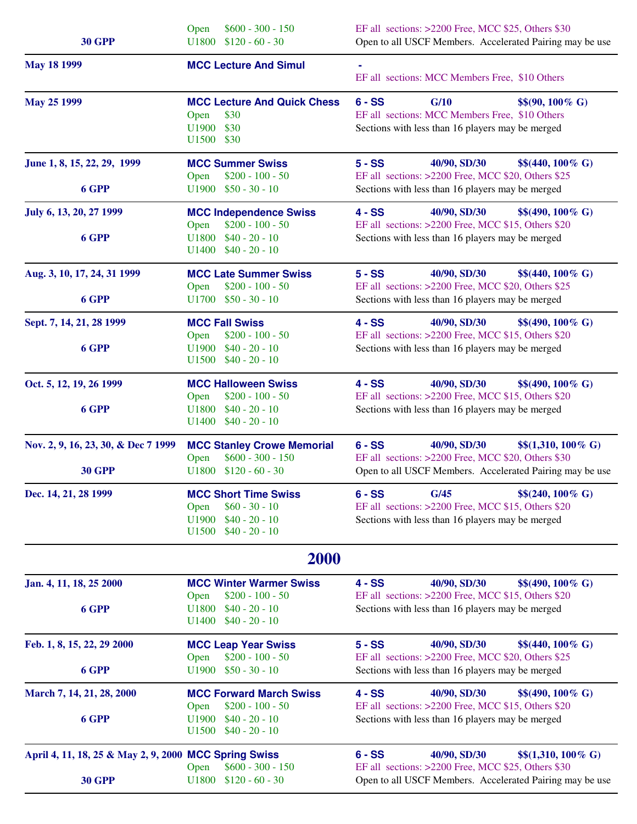| <b>30 GPP</b>                                         | $$600 - 300 - 150$<br>Open<br>$$120 - 60 - 30$<br>U1800                                                                         | EF all sections: >2200 Free, MCC \$25, Others \$30<br>Open to all USCF Members. Accelerated Pairing may be use                                                            |
|-------------------------------------------------------|---------------------------------------------------------------------------------------------------------------------------------|---------------------------------------------------------------------------------------------------------------------------------------------------------------------------|
| <b>May 18 1999</b>                                    | <b>MCC Lecture And Simul</b>                                                                                                    | EF all sections: MCC Members Free, \$10 Others                                                                                                                            |
| <b>May 25 1999</b>                                    | <b>MCC Lecture And Quick Chess</b><br>\$30<br>Open<br>\$30<br>U1900<br>U1500<br>\$30                                            | $6 - SS$<br>G/10<br>$$$(90, 100\% \text{ G})$$<br>EF all sections: MCC Members Free, \$10 Others<br>Sections with less than 16 players may be merged                      |
| June 1, 8, 15, 22, 29, 1999<br>6 GPP                  | <b>MCC Summer Swiss</b><br>$$200 - 100 - 50$<br>Open<br>$$50 - 30 - 10$<br>U1900                                                | $5 - SS$<br>40/90, SD/30<br>$$$(440, 100\% \text{ G})$$<br>EF all sections: >2200 Free, MCC \$20, Others \$25<br>Sections with less than 16 players may be merged         |
| July 6, 13, 20, 27 1999                               | <b>MCC Independence Swiss</b>                                                                                                   | $4 - SS$<br>40/90, SD/30<br>$$$(490, 100\% \text{ G})$                                                                                                                    |
| 6 GPP                                                 | $$200 - 100 - 50$<br>Open<br>$$40 - 20 - 10$<br>U1800<br>U1400<br>$$40 - 20 - 10$                                               | EF all sections: >2200 Free, MCC \$15, Others \$20<br>Sections with less than 16 players may be merged                                                                    |
| Aug. 3, 10, 17, 24, 31 1999<br>6 GPP                  | <b>MCC Late Summer Swiss</b><br>$$200 - 100 - 50$<br>Open<br>$U1700$ \$50 - 30 - 10                                             | $5 - SS$<br>40/90, SD/30<br>$$$(440, 100\% \text{ G})$$<br>EF all sections: >2200 Free, MCC \$20, Others \$25<br>Sections with less than 16 players may be merged         |
| Sept. 7, 14, 21, 28 1999                              | <b>MCC Fall Swiss</b>                                                                                                           | $4 - SS$<br>40/90, SD/30<br>$$$(490, 100\% \text{ G})$                                                                                                                    |
| 6 GPP                                                 | $$200 - 100 - 50$<br>Open<br>$$40 - 20 - 10$<br>U1900<br>$$40 - 20 - 10$<br>U1500                                               | EF all sections: >2200 Free, MCC \$15, Others \$20<br>Sections with less than 16 players may be merged                                                                    |
| Oct. 5, 12, 19, 26 1999                               | <b>MCC Halloween Swiss</b><br>$$200 - 100 - 50$<br>Open                                                                         | $4 - SS$<br>40/90, SD/30<br>$$$(490, 100\% \text{ G})$$<br>EF all sections: >2200 Free, MCC \$15, Others \$20                                                             |
| 6 GPP                                                 | $$40 - 20 - 10$<br>U1800<br>$$40 - 20 - 10$<br>U1400                                                                            | Sections with less than 16 players may be merged                                                                                                                          |
| Nov. 2, 9, 16, 23, 30, & Dec 7 1999<br><b>30 GPP</b>  | <b>MCC Stanley Crowe Memorial</b><br>$$600 - 300 - 150$<br>Open<br>U1800<br>$$120 - 60 - 30$                                    | $6 - SS$<br>40/90, SD/30<br>$$(1,310, 100\% \text{ G})$<br>EF all sections: >2200 Free, MCC \$20, Others \$30<br>Open to all USCF Members. Accelerated Pairing may be use |
| Dec. 14, 21, 28 1999                                  | <b>MCC Short Time Swiss</b><br>$$60 - 30 - 10$<br>Open<br>$$40 - 20 - 10$<br>U1900<br>$$40 - 20 - 10$<br>U <sub>1500</sub>      | $6 - SS$<br>G/45<br>$$$(240, 100\% \text{ G})$$<br>EF all sections: >2200 Free, MCC \$15, Others \$20<br>Sections with less than 16 players may be merged                 |
|                                                       | <b>2000</b>                                                                                                                     |                                                                                                                                                                           |
| Jan. 4, 11, 18, 25 2000<br>6 GPP                      | <b>MCC Winter Warmer Swiss</b><br>$$200 - 100 - 50$<br>Open<br>$$40 - 20 - 10$<br>U1800<br>$$40 - 20 - 10$<br>U <sub>1400</sub> | $4 - SS$<br>40/90, SD/30<br>$$$(490, 100\% \text{ G})$<br>EF all sections: >2200 Free, MCC \$15, Others \$20<br>Sections with less than 16 players may be merged          |
| Feb. 1, 8, 15, 22, 29 2000<br>6 GPP                   | <b>MCC Leap Year Swiss</b><br>$$200 - 100 - 50$<br>Open<br>$$50 - 30 - 10$<br>U1900                                             | $5 - SS$<br>40/90, SD/30<br>$$$(440, 100\% \text{ G})$$<br>EF all sections: >2200 Free, MCC \$20, Others \$25<br>Sections with less than 16 players may be merged         |
| March 7, 14, 21, 28, 2000                             | <b>MCC Forward March Swiss</b>                                                                                                  | $4 - SS$<br>40/90, SD/30<br>$$$(490, 100\% \text{ G})$                                                                                                                    |
| 6 GPP                                                 | $$200 - 100 - 50$<br>Open<br>$$40 - 20 - 10$<br>U1900<br>U <sub>1500</sub><br>$$40 - 20 - 10$                                   | EF all sections: >2200 Free, MCC \$15, Others \$20<br>Sections with less than 16 players may be merged                                                                    |
| April 4, 11, 18, 25 & May 2, 9, 2000 MCC Spring Swiss | $$600 - 300 - 150$<br>Open                                                                                                      | 40/90, SD/30<br>$6 - SS$<br>$$(1,310, 100\% \text{ G})$<br>EF all sections: >2200 Free, MCC \$25, Others \$30                                                             |
| <b>30 GPP</b>                                         | U1800<br>$$120 - 60 - 30$                                                                                                       | Open to all USCF Members. Accelerated Pairing may be use                                                                                                                  |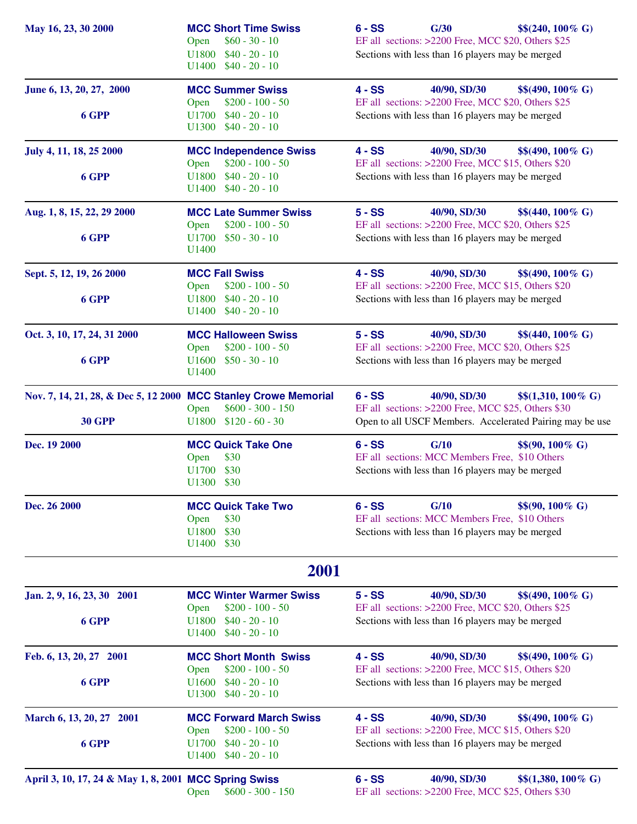| May 16, 23, 30 2000                                             | <b>MCC Short Time Swiss</b><br>$$60 - 30 - 10$<br>Open<br>$$40 - 20 - 10$<br><b>U1800</b><br>$U1400$ \$40 - 20 - 10 | G/30<br>$$$(240, 100\% \text{ G})$$<br>$6 - SS$<br>EF all sections: >2200 Free, MCC \$20, Others \$25<br>Sections with less than 16 players may be merged        |
|-----------------------------------------------------------------|---------------------------------------------------------------------------------------------------------------------|------------------------------------------------------------------------------------------------------------------------------------------------------------------|
| June 6, 13, 20, 27, 2000                                        | <b>MCC Summer Swiss</b><br>Open<br>$$200 - 100 - 50$                                                                | $4 - SS$<br>40/90, SD/30<br>$$$(490, 100\% \text{ G})$$<br>EF all sections: >2200 Free, MCC \$20, Others \$25                                                    |
| 6 GPP                                                           | $$40 - 20 - 10$<br>U1700<br>$$40 - 20 - 10$<br>U1300                                                                | Sections with less than 16 players may be merged                                                                                                                 |
| July 4, 11, 18, 25 2000                                         | <b>MCC Independence Swiss</b><br>$$200 - 100 - 50$<br>Open                                                          | $4 - SS$<br>40/90, SD/30<br>$$$(490, 100\% \text{ G})$$<br>EF all sections: >2200 Free, MCC \$15, Others \$20                                                    |
| 6 GPP                                                           | $$40 - 20 - 10$<br>U1800<br>$$40 - 20 - 10$<br>U1400                                                                | Sections with less than 16 players may be merged                                                                                                                 |
| Aug. 1, 8, 15, 22, 29 2000                                      | <b>MCC Late Summer Swiss</b><br>$$200 - 100 - 50$<br>Open                                                           | $5 - SS$<br>40/90, SD/30<br>$$$(440, 100\% \text{ G})$$<br>EF all sections: >2200 Free, MCC \$20, Others \$25                                                    |
| 6 GPP                                                           | $U1700$ \$50 - 30 - 10<br>U1400                                                                                     | Sections with less than 16 players may be merged                                                                                                                 |
| Sept. 5, 12, 19, 26 2000                                        | <b>MCC Fall Swiss</b><br>$$200 - 100 - 50$<br>Open                                                                  | $4 - SS$<br>40/90, SD/30<br>$$$(490, 100\% \text{ G})$$<br>EF all sections: >2200 Free, MCC \$15, Others \$20                                                    |
| 6 GPP                                                           | $$40 - 20 - 10$<br>U1800<br>$$40 - 20 - 10$<br>U1400                                                                | Sections with less than 16 players may be merged                                                                                                                 |
| Oct. 3, 10, 17, 24, 31 2000                                     | <b>MCC Halloween Swiss</b><br>$$200 - 100 - 50$<br>Open                                                             | $5 - SS$<br>40/90, SD/30<br>$$$(440, 100\% \text{ G})$<br>EF all sections: >2200 Free, MCC \$20, Others \$25                                                     |
| 6 GPP                                                           | $U1600$ \$50 - 30 - 10<br>U1400                                                                                     | Sections with less than 16 players may be merged                                                                                                                 |
| Nov. 7, 14, 21, 28, & Dec 5, 12 2000 MCC Stanley Crowe Memorial | $$600 - 300 - 150$<br>Open                                                                                          | $6 - SS$<br>$$$(1,310, 100\% \text{ G})$<br>40/90, SD/30<br>EF all sections: >2200 Free, MCC \$25, Others \$30                                                   |
| <b>30 GPP</b>                                                   | $U1800$ \$120 - 60 - 30                                                                                             | Open to all USCF Members. Accelerated Pairing may be use                                                                                                         |
| Dec. 19 2000                                                    | <b>MCC Quick Take One</b><br>Open<br>\$30<br>U1700<br>\$30<br>U1300<br>\$30                                         | $6 - SS$<br>G/10<br>$$$(90, 100\% \text{ G})$$<br>EF all sections: MCC Members Free, \$10 Others<br>Sections with less than 16 players may be merged             |
| Dec. 26 2000                                                    | <b>MCC Quick Take Two</b><br>\$30<br>Open<br>U1800<br>\$30<br>\$30<br>U <sub>1400</sub>                             | $6 - SS$<br>G/10<br>$$$(90, 100\% \text{ G})$$<br>EF all sections: MCC Members Free, \$10 Others<br>Sections with less than 16 players may be merged             |
|                                                                 | 2001                                                                                                                |                                                                                                                                                                  |
| Jan. 2, 9, 16, 23, 30 2001<br>6 GPP                             | <b>MCC Winter Warmer Swiss</b><br>$$200 - 100 - 50$<br>Open<br>$$40 - 20 - 10$<br>U1800                             | $5 - SS$<br>40/90, SD/30<br>$$$(490, 100\% \text{ G})$<br>EF all sections: >2200 Free, MCC \$20, Others \$25<br>Sections with less than 16 players may be merged |
| Feb. 6, 13, 20, 27 2001                                         | $$40 - 20 - 10$<br>U <sub>1400</sub><br><b>MCC Short Month Swiss</b>                                                | $4 - SS$<br>40/90, SD/30<br>$$$(490, 100\% \text{ G})$                                                                                                           |
| 6 GPP                                                           | $$200 - 100 - 50$<br>Open<br>U1600<br>$$40 - 20 - 10$<br>U1300<br>$$40 - 20 - 10$                                   | EF all sections: >2200 Free, MCC \$15, Others \$20<br>Sections with less than 16 players may be merged                                                           |
| March 6, 13, 20, 27 2001                                        | <b>MCC Forward March Swiss</b><br>$$200 - 100 - 50$<br>Open                                                         | $4 - SS$<br>40/90, SD/30<br>$$$(490, 100\% \text{ G})$<br>EF all sections: >2200 Free, MCC \$15, Others \$20                                                     |
| 6 GPP                                                           | $$40 - 20 - 10$<br>U1700<br>U <sub>1400</sub><br>$$40 - 20 - 10$                                                    | Sections with less than 16 players may be merged                                                                                                                 |
| April 3, 10, 17, 24 & May 1, 8, 2001 MCC Spring Swiss           | $$600 - 300 - 150$<br>Open                                                                                          | $6 - SS$<br>40/90, SD/30<br>$$$(1,380, 100\% \text{ G})$<br>EF all sections: >2200 Free, MCC \$25, Others \$30                                                   |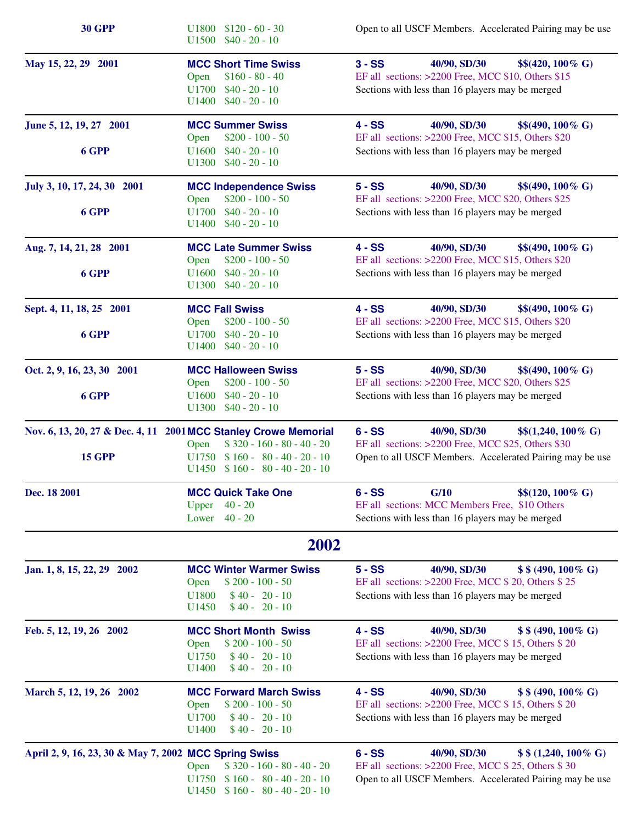| <b>30 GPP</b>                                                   | $U1800$ \$120 - 60 - 30<br>$U1500$ \$40 - 20 - 10                                                                               | Open to all USCF Members. Accelerated Pairing may be use                                                                                                                     |
|-----------------------------------------------------------------|---------------------------------------------------------------------------------------------------------------------------------|------------------------------------------------------------------------------------------------------------------------------------------------------------------------------|
| May 15, 22, 29 2001                                             | <b>MCC Short Time Swiss</b><br>$$160 - 80 - 40$<br>Open<br>$$40 - 20 - 10$<br>U1700<br>$U1400$ \$40 - 20 - 10                   | $3 - SS$<br>40/90, SD/30<br>$$$(420, 100\% \text{ G})$<br>EF all sections: >2200 Free, MCC \$10, Others \$15<br>Sections with less than 16 players may be merged             |
| June 5, 12, 19, 27 2001<br>6 GPP                                | <b>MCC Summer Swiss</b><br>$$200 - 100 - 50$<br>Open<br>$$40 - 20 - 10$<br>U1600                                                | $4 - SS$<br>40/90, SD/30<br>$$$(490, 100\% \text{ G})$$<br>EF all sections: >2200 Free, MCC \$15, Others \$20<br>Sections with less than 16 players may be merged            |
|                                                                 | $U1300$ \$40 - 20 - 10                                                                                                          |                                                                                                                                                                              |
| July 3, 10, 17, 24, 30 2001                                     | <b>MCC Independence Swiss</b><br>$$200 - 100 - 50$<br>Open                                                                      | $5 - SS$<br>40/90, SD/30<br>$$$(490, 100\% \text{ G})$<br>EF all sections: >2200 Free, MCC \$20, Others \$25                                                                 |
| 6 GPP                                                           | $$40 - 20 - 10$<br>U1700<br>$$40 - 20 - 10$<br>U1400                                                                            | Sections with less than 16 players may be merged                                                                                                                             |
| Aug. 7, 14, 21, 28 2001                                         | <b>MCC Late Summer Swiss</b><br>$$200 - 100 - 50$<br>Open                                                                       | $4 - SS$<br>40/90, SD/30<br>$$$(490, 100\% \text{ G})$<br>EF all sections: >2200 Free, MCC \$15, Others \$20                                                                 |
| 6 GPP                                                           | U1600<br>$$40 - 20 - 10$<br>$U1300$ \$40 - 20 - 10                                                                              | Sections with less than 16 players may be merged                                                                                                                             |
| Sept. 4, 11, 18, 25 2001                                        | <b>MCC Fall Swiss</b><br>$$200 - 100 - 50$<br>Open                                                                              | $4 - SS$<br>40/90, SD/30<br>$$$(490, 100\% \text{ G})$<br>EF all sections: >2200 Free, MCC \$15, Others \$20                                                                 |
| 6 GPP                                                           | $$40 - 20 - 10$<br>U1700<br>$$40 - 20 - 10$<br>U1400                                                                            | Sections with less than 16 players may be merged                                                                                                                             |
| Oct. 2, 9, 16, 23, 30 2001                                      | <b>MCC Halloween Swiss</b><br>$$200 - 100 - 50$<br>Open                                                                         | $5 - SS$<br>40/90, SD/30<br>$$$(490, 100\% \text{ G})$<br>EF all sections: >2200 Free, MCC \$20, Others \$25                                                                 |
| 6 GPP                                                           | $$40 - 20 - 10$<br>U1600<br>$$40 - 20 - 10$<br>U1300                                                                            | Sections with less than 16 players may be merged                                                                                                                             |
| Nov. 6, 13, 20, 27 & Dec. 4, 11 2001 MCC Stanley Crowe Memorial | $$320 - 160 - 80 - 40 - 20$<br>Open                                                                                             | $6 - SS$<br>40/90, SD/30<br>$$$(1,240, 100\% \text{ G})$<br>EF all sections: >2200 Free, MCC \$25, Others \$30                                                               |
| <b>15 GPP</b>                                                   | $U1750$ \$160 - 80 - 40 - 20 - 10<br>$U1450 \quad $160 - 80 - 40 - 20 - 10$                                                     | Open to all USCF Members. Accelerated Pairing may be use                                                                                                                     |
| Dec. 18 2001                                                    | <b>MCC Quick Take One</b><br>$40 - 20$<br>Upper<br>$40 - 20$<br>Lower                                                           | $6 - SS$<br>G/10<br>$$$(120, 100\% \text{ G})$$<br>EF all sections: MCC Members Free, \$10 Others<br>Sections with less than 16 players may be merged                        |
|                                                                 | 2002                                                                                                                            |                                                                                                                                                                              |
| Jan. 1, 8, 15, 22, 29 2002                                      | <b>MCC Winter Warmer Swiss</b><br>Open<br>$$200 - 100 - 50$<br>U1800<br>$$40 - 20 - 10$<br>U <sub>1450</sub><br>$$40 - 20 - 10$ | $5 - SS$<br>40/90, SD/30<br>$$ 8(490, 100\% \text{ G})$<br>EF all sections: >2200 Free, MCC \$ 20, Others \$ 25<br>Sections with less than 16 players may be merged          |
| Feb. 5, 12, 19, 26 2002                                         | <b>MCC Short Month Swiss</b><br>$$200 - 100 - 50$<br>Open<br>$$40 - 20 - 10$<br>U1750<br>U1400<br>$$40 - 20 - 10$               | $4 - SS$<br>40/90, SD/30<br>$$ 8(490, 100\% \text{ G})$<br>EF all sections: >2200 Free, MCC \$15, Others \$20<br>Sections with less than 16 players may be merged            |
| March 5, 12, 19, 26 2002                                        | <b>MCC Forward March Swiss</b><br>$$200 - 100 - 50$<br>Open<br>U1700<br>$$40 - 20 - 10$<br>$$40 - 20 - 10$<br>U <sub>1400</sub> | $4 - SS$<br>40/90, SD/30<br>$$ 8(490, 100\% \text{ G})$<br>EF all sections: >2200 Free, MCC \$15, Others \$20<br>Sections with less than 16 players may be merged            |
| April 2, 9, 16, 23, 30 & May 7, 2002 MCC Spring Swiss           | $$320 - 160 - 80 - 40 - 20$<br>Open<br>$U1750$ \$ 160 - 80 - 40 - 20 - 10<br>$U1450 \quad $160 - 80 - 40 - 20 - 10$             | $6 - SS$<br>40/90, SD/30<br>$$ 8(1,240,100\% \text{ G})$<br>EF all sections: >2200 Free, MCC \$ 25, Others \$ 30<br>Open to all USCF Members. Accelerated Pairing may be use |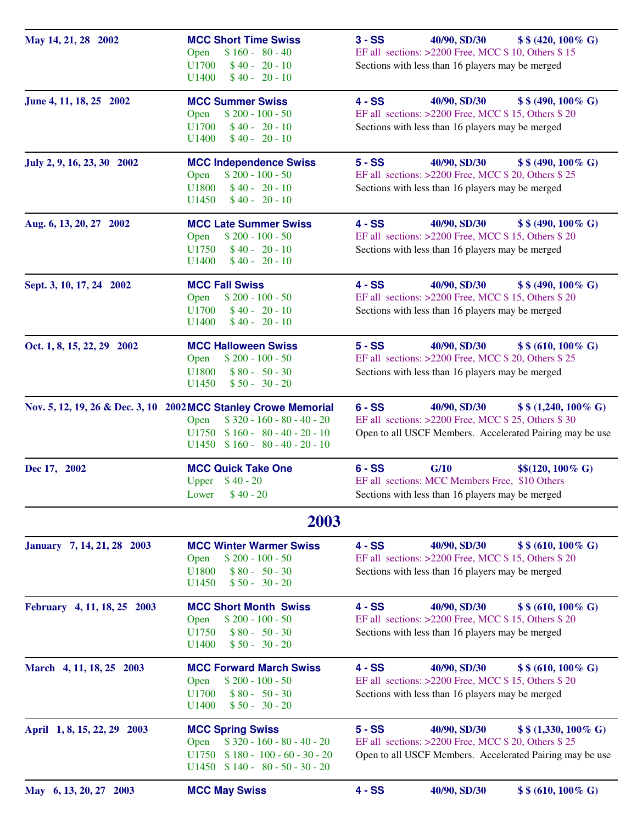| May 14, 21, 28 2002         | <b>MCC Short Time Swiss</b><br>$$160 - 80 - 40$<br>Open<br>U1700<br>$$40 - 20 - 10$<br>$$40 - 20 - 10$<br>U1400                                                                       | 40/90, SD/30<br>$3 - SS$<br>$$ 8 (420, 100\% \text{ G})$<br>EF all sections: >2200 Free, MCC \$ 10, Others \$ 15<br>Sections with less than 16 players may be merged    |
|-----------------------------|---------------------------------------------------------------------------------------------------------------------------------------------------------------------------------------|-------------------------------------------------------------------------------------------------------------------------------------------------------------------------|
| June 4, 11, 18, 25 2002     | <b>MCC Summer Swiss</b><br>$$200 - 100 - 50$<br>Open<br>U1700<br>$$40 - 20 - 10$<br>U <sub>1400</sub><br>$$40 - 20 - 10$                                                              | $4 - SS$<br>40/90, SD/30<br>$$ $ (490, 100 % G)<br>EF all sections: $>2200$ Free, MCC \$15, Others \$20<br>Sections with less than 16 players may be merged             |
| July 2, 9, 16, 23, 30 2002  | <b>MCC Independence Swiss</b><br>$$200 - 100 - 50$<br>Open<br>$$40 - 20 - 10$<br>U1800<br>$$40 - 20 - 10$<br>U <sub>1450</sub>                                                        | $5 - SS$<br>40/90, SD/30<br>$$ $ (490, 100 % G)<br>EF all sections: >2200 Free, MCC \$ 20, Others \$ 25<br>Sections with less than 16 players may be merged             |
| Aug. 6, 13, 20, 27 2002     | <b>MCC Late Summer Swiss</b><br>$$200 - 100 - 50$<br>Open<br>$$40 - 20 - 10$<br>U1750<br>$$40 - 20 - 10$<br>U1400                                                                     | $4 - SS$<br>40/90, SD/30<br>$$ 8(490, 100\% \text{ G})$<br>EF all sections: >2200 Free, MCC \$15, Others \$20<br>Sections with less than 16 players may be merged       |
| Sept. 3, 10, 17, 24 2002    | <b>MCC Fall Swiss</b><br>$$200 - 100 - 50$<br>Open<br>$$40 - 20 - 10$<br>U1700<br>$$40 - 20 - 10$<br>U1400                                                                            | $4 - SS$<br>40/90, SD/30<br>$$ $ \$ (490, 100 % G)<br>EF all sections: >2200 Free, MCC \$15, Others \$20<br>Sections with less than 16 players may be merged            |
| Oct. 1, 8, 15, 22, 29 2002  | <b>MCC Halloween Swiss</b><br>$$200 - 100 - 50$<br>Open<br>$$80 - 50 - 30$<br>U1800<br>U <sub>1450</sub><br>$$50 - 30 - 20$                                                           | $5 - SS$<br>40/90, SD/30<br>$$ $ (610, 100 % G)<br>EF all sections: >2200 Free, MCC \$ 20, Others \$ 25<br>Sections with less than 16 players may be merged             |
|                             | Nov. 5, 12, 19, 26 & Dec. 3, 10 2002 MCC Stanley Crowe Memorial<br>$$320 - 160 - 80 - 40 - 20$<br>Open<br>$U1750$ \$160 - 80 - 40 - 20 - 10<br>$U1450 \quad $160 - 80 - 40 - 20 - 10$ | $6 - SS$<br>40/90, SD/30<br>\$ \$ (1,240, 100% G)<br>EF all sections: >2200 Free, MCC \$ 25, Others \$ 30<br>Open to all USCF Members. Accelerated Pairing may be use   |
| Dec 17, 2002                | <b>MCC Quick Take One</b><br>Upper $$40 - 20$<br>Lower $$40 - 20$                                                                                                                     | $6 - SS$<br>G/10<br>$$$(120, 100\% \text{ G})$$<br>EF all sections: MCC Members Free, \$10 Others<br>Sections with less than 16 players may be merged                   |
|                             | 2003                                                                                                                                                                                  |                                                                                                                                                                         |
| January 7, 14, 21, 28 2003  | <b>MCC Winter Warmer Swiss</b><br>$$200 - 100 - 50$<br>Open<br>$$80 - 50 - 30$<br>U1800<br>$$50 - 30 - 20$<br>U <sub>1450</sub>                                                       | 40/90, SD/30<br>$$ $ (610, 100% G)<br>$4 - SS$<br>EF all sections: >2200 Free, MCC \$15, Others \$20<br>Sections with less than 16 players may be merged                |
| February 4, 11, 18, 25 2003 | <b>MCC Short Month Swiss</b><br>$$200 - 100 - 50$<br>Open<br>U1750<br>$$80 - 50 - 30$<br>U <sub>1400</sub><br>$$50 - 30 - 20$                                                         | $4 - SS$<br>40/90, SD/30<br>$$ 8(610, 100\% \text{ G})$<br>EF all sections: $>2200$ Free, MCC \$15, Others \$20<br>Sections with less than 16 players may be merged     |
| March 4, 11, 18, 25 2003    | <b>MCC Forward March Swiss</b><br>$$200 - 100 - 50$<br>Open<br>U1700<br>$$80 - 50 - 30$<br>U1400<br>$$50 - 30 - 20$                                                                   | $4 - SS$<br>40/90, SD/30<br>$$ 8(610, 100\% \text{ G})$<br>EF all sections: >2200 Free, MCC \$15, Others \$20<br>Sections with less than 16 players may be merged       |
| April 1, 8, 15, 22, 29 2003 | <b>MCC Spring Swiss</b><br>$$320 - 160 - 80 - 40 - 20$<br>Open<br>$$180 - 100 - 60 - 30 - 20$<br>U1750<br>$U1450$ \$ 140 - 80 - 50 - 30 - 20                                          | 40/90, SD/30<br>$5 - SS$<br>$$ $ \$ (1,330, 100% G)<br>EF all sections: >2200 Free, MCC \$ 20, Others \$ 25<br>Open to all USCF Members. Accelerated Pairing may be use |
| May 6, 13, 20, 27 2003      | <b>MCC May Swiss</b>                                                                                                                                                                  | 40/90, SD/30<br>\$ \$ (610, 100% G)<br>$4 - SS$                                                                                                                         |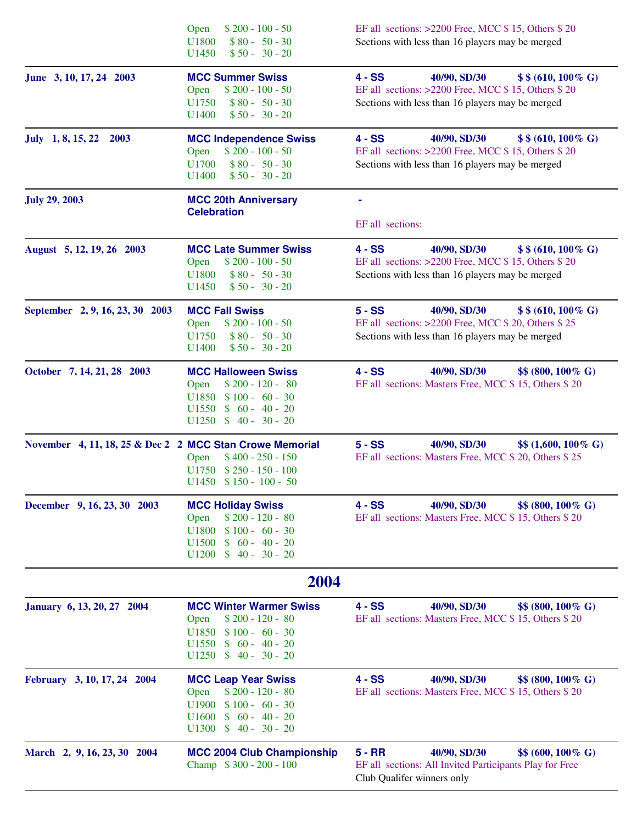|                                                          | $$200 - 100 - 50$<br>Open<br>U1800<br>$$80 - 50 - 30$<br>U <sub>1450</sub><br>$$50 - 30 - 20$                                                                                         | EF all sections: $>2200$ Free, MCC \$ 15, Others \$ 20<br>Sections with less than 16 players may be merged                                                  |
|----------------------------------------------------------|---------------------------------------------------------------------------------------------------------------------------------------------------------------------------------------|-------------------------------------------------------------------------------------------------------------------------------------------------------------|
| June 3, 10, 17, 24 2003                                  | <b>MCC Summer Swiss</b><br>$$200 - 100 - 50$<br>Open<br>U1750<br>$$80 - 50 - 30$<br>U1400<br>$$50 - 30 - 20$                                                                          | $4 - SS$<br>40/90, SD/30<br>$$ $ (610, 100 % G)<br>EF all sections: $>2200$ Free, MCC \$15, Others \$20<br>Sections with less than 16 players may be merged |
| July 1, 8, 15, 22<br>2003                                | <b>MCC Independence Swiss</b><br>$$200 - 100 - 50$<br>Open<br>$$80 - 50 - 30$<br>U1700<br>U <sub>1400</sub><br>$$50 - 30 - 20$                                                        | 40/90, SD/30<br>$4 - SS$<br>$$ $ (610, 100 % G)<br>EF all sections: >2200 Free, MCC \$15, Others \$20<br>Sections with less than 16 players may be merged   |
| <b>July 29, 2003</b>                                     | <b>MCC 20th Anniversary</b><br><b>Celebration</b>                                                                                                                                     | EF all sections:                                                                                                                                            |
| August 5, 12, 19, 26 2003                                | <b>MCC Late Summer Swiss</b><br>$$200 - 100 - 50$<br>Open<br>U1800<br>$$80 - 50 - 30$<br>U <sub>1450</sub><br>$$50 - 30 - 20$                                                         | $4 - SS$<br>40/90, SD/30<br>$$ $ (610, 100 % G)<br>EF all sections: >2200 Free, MCC \$15, Others \$20<br>Sections with less than 16 players may be merged   |
| September 2, 9, 16, 23, 30 2003                          | <b>MCC Fall Swiss</b><br>$$200 - 100 - 50$<br>Open<br>U1750<br>$$80 - 50 - 30$<br>U1400<br>$$50 - 30 - 20$                                                                            | $5 - SS$<br>40/90, SD/30<br>\$\$(610, 100% G)<br>EF all sections: >2200 Free, MCC \$ 20, Others \$ 25<br>Sections with less than 16 players may be merged   |
| October 7, 14, 21, 28 2003                               | <b>MCC Halloween Swiss</b><br>$$200 - 120 - 80$<br>Open<br>$$100 - 60 - 30$<br>U1850<br>$\mathbf{\$}$<br>$60 - 40 - 20$<br>U <sub>1550</sub><br>U1250<br>$$40 - 30 - 20$              | $4 - SS$<br>40/90, SD/30<br>$$8(800, 100\% \text{ G})$<br>EF all sections: Masters Free, MCC \$15, Others \$20                                              |
| November 4, 11, 18, 25 & Dec 2 2 MCC Stan Crowe Memorial | $$400 - 250 - 150$<br>Open<br>$$250 - 150 - 100$<br>U1750<br>$U1450$ \$ 150 - 100 - 50                                                                                                | $5 - SS$<br>40/90, SD/30<br>\$\$ (1,600, 100% G)<br>EF all sections: Masters Free, MCC \$ 20, Others \$ 25                                                  |
| December 9, 16, 23, 30 2003                              | <b>MCC Holiday Swiss</b><br>$$200 - 120 - 80$<br>Open<br>U1800<br>$$100 - 60 - 30$<br>$60 - 40 - 20$<br>U <sub>1500</sub><br>$\mathbf{\$}$<br>$40 - 30 - 20$<br>U1200<br>$\mathbb{S}$ | $4 - SS$<br>40/90, SD/30<br>$$8(800, 100\% \text{ G})$<br>EF all sections: Masters Free, MCC \$15, Others \$20                                              |
|                                                          | 2004                                                                                                                                                                                  |                                                                                                                                                             |
| January 6, 13, 20, 27 2004                               | <b>MCC Winter Warmer Swiss</b><br>$$200 - 120 - 80$<br>Open<br>U1850<br>$$100 - 60 - 30$<br>U <sub>1550</sub><br>$$60 - 40 - 20$<br>U1250<br>$$40 - 30 - 20$                          | $4 - SS$<br>40/90, SD/30<br>\$\$ (800, 100% G)<br>EF all sections: Masters Free, MCC \$15, Others \$20                                                      |
| February 3, 10, 17, 24 2004                              | <b>MCC Leap Year Swiss</b><br>$$200 - 120 - 80$<br>Open<br>$$100 - 60 - 30$<br>U1900<br>$60 - 40 - 20$<br>U1600<br>$\mathbb{S}$<br>U1300<br>$$40 - 30 - 20$                           | $4 - SS$<br>40/90, SD/30<br>\$\$ (800, 100% G)<br>EF all sections: Masters Free, MCC \$15, Others \$20                                                      |
| March 2, 9, 16, 23, 30 2004                              | <b>MCC 2004 Club Championship</b><br>Champ \$300 - 200 - 100                                                                                                                          | $5 - RR$<br>40/90, SD/30<br>$$6(600, 100\% \text{ G})$$<br>EF all sections: All Invited Participants Play for Free<br>Club Qualifer winners only            |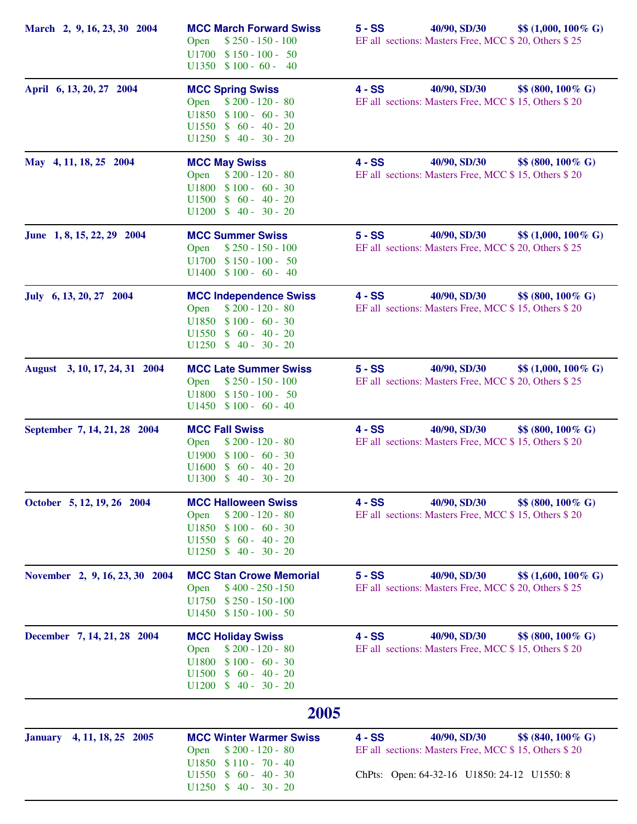| March 2, 9, 16, 23, 30 2004    | <b>MCC March Forward Swiss</b><br>$$250 - 150 - 100$<br>Open<br>$U1700 \quad $150 - 100 - 50$<br>$U1350 \quad $100 - 60 - 40$                                           | 40/90, SD/30<br>$5 - SS$<br>$$ (1,000, 100\% \text{ G})$<br>EF all sections: Masters Free, MCC \$ 20, Others \$ 25                                            |
|--------------------------------|-------------------------------------------------------------------------------------------------------------------------------------------------------------------------|---------------------------------------------------------------------------------------------------------------------------------------------------------------|
| April 6, 13, 20, 27 2004       | <b>MCC Spring Swiss</b><br>$$200 - 120 - 80$<br>Open<br>$U1850$ \$100 - 60 - 30<br>$U1550 \t $60 - 40 - 20$<br>$U1250 \quad $40 - 30 - 20$                              | 40/90, SD/30<br>\$\$ (800, 100% G)<br>$4 - SS$<br>EF all sections: Masters Free, MCC \$15, Others \$20                                                        |
| May 4, 11, 18, 25 2004         | <b>MCC May Swiss</b><br>$$200 - 120 - 80$<br>Open<br>$$100 - 60 - 30$<br>U1800<br>$$60 - 40 - 20$<br>U1500<br>$U1200 \quad $40 - 30 - 20$                               | 40/90, SD/30<br>$4 - SS$<br>$$8(800, 100\% \text{ G})$<br>EF all sections: Masters Free, MCC \$15, Others \$20                                                |
| June 1, 8, 15, 22, 29 2004     | <b>MCC Summer Swiss</b><br>$$250 - 150 - 100$<br>Open<br>$U1700 \t $150 - 100 - 50$<br>$U1400 \quad $100 - 60 - 40$                                                     | $5 - SS$<br>40/90, SD/30<br>$$ (1,000, 100\% \text{ G})$<br>EF all sections: Masters Free, MCC \$ 20, Others \$ 25                                            |
| July 6, 13, 20, 27 2004        | <b>MCC Independence Swiss</b><br>$$200 - 120 - 80$<br>Open<br>$$100 - 60 - 30$<br>U1850<br>$$60 - 40 - 20$<br>U <sub>1550</sub><br>$U1250$ \$ 40 - 30 - 20              | $4 - SS$<br>40/90, SD/30<br>$$8(800, 100\% \text{ G})$<br>EF all sections: Masters Free, MCC \$15, Others \$20                                                |
| August 3, 10, 17, 24, 31 2004  | <b>MCC Late Summer Swiss</b><br>Open<br>$$250 - 150 - 100$<br>$U1800 \quad $150 - 100 - 50$<br>$U1450 \quad $100 - 60 - 40$                                             | $5 - SS$<br>40/90, SD/30<br>$$ (1,000, 100\% \text{ G})$<br>EF all sections: Masters Free, MCC \$ 20, Others \$ 25                                            |
| September 7, 14, 21, 28 2004   | <b>MCC Fall Swiss</b><br>$$200 - 120 - 80$<br>Open<br>$$100 - 60 - 30$<br>U1900<br>$60 - 40 - 20$<br>U1600<br>$\mathbf{s}$<br>$U1300 \quad $40 - 30 - 20$               | 40/90, SD/30<br>$4 - SS$<br>$$8(800, 100\% \text{ G})$<br>EF all sections: Masters Free, MCC \$15, Others \$20                                                |
| October 5, 12, 19, 26 2004     | <b>MCC Halloween Swiss</b><br>$$200 - 120 - 80$<br>Open<br>U1850<br>$$100 - 60 - 30$<br>$$60 - 40 - 20$<br>U <sub>1550</sub><br>$$40 - 30 - 20$<br>U1250                | 40/90, SD/30<br>$4 - SS$<br>\$\$ (800, 100% G)<br>EF all sections: Masters Free, MCC \$15, Others \$20                                                        |
| November 2, 9, 16, 23, 30 2004 | <b>MCC Stan Crowe Memorial</b><br>$$400 - 250 - 150$<br>Open<br>$U1750$ \$ 250 - 150 - 100<br>$U1450$ \$ 150 - 100 - 50                                                 | $5 - SS$<br>40/90, SD/30<br>$$ 1,600, 100\% \text{ G}$<br>EF all sections: Masters Free, MCC \$ 20, Others \$ 25                                              |
| December 7, 14, 21, 28 2004    | <b>MCC Holiday Swiss</b><br>$$200 - 120 - 80$<br>Open<br>U1800<br>$$100 - 60 - 30$<br>$$60 - 40 - 20$<br>U <sub>1500</sub><br>$$40 - 30 - 20$<br>U1200                  | $4 - SS$<br>40/90, SD/30<br>$$8(800, 100\% \text{ G})$<br>EF all sections: Masters Free, MCC \$15, Others \$20                                                |
|                                | 2005                                                                                                                                                                    |                                                                                                                                                               |
| January 4, 11, 18, 25 2005     | <b>MCC Winter Warmer Swiss</b><br>$$200 - 120 - 80$<br>Open<br>U <sub>1850</sub><br>$$110 - 70 - 40$<br>$$60 - 40 - 30$<br>U <sub>1550</sub><br>$U1250$ \$ 40 - 30 - 20 | $4 - SS$<br>40/90, SD/30<br>$$8(840, 100\% \text{ G})$<br>EF all sections: Masters Free, MCC \$15, Others \$20<br>ChPts: Open: 64-32-16 U1850: 24-12 U1550: 8 |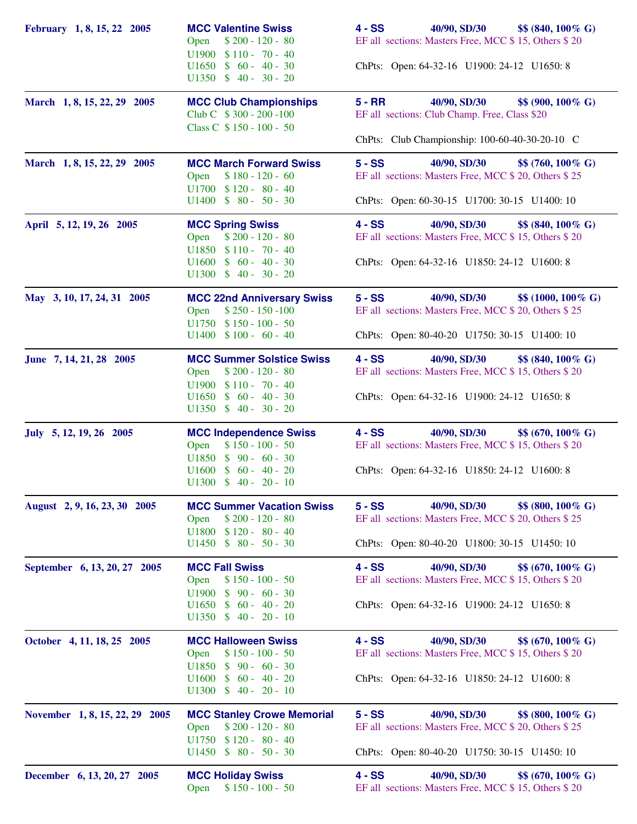| February 1, 8, 15, 22 2005     | <b>MCC Valentine Swiss</b><br>$$200 - 120 - 80$<br>Open<br>$U1900 \quad $110 - 70 - 40$        | 40/90, SD/30<br>$4 - SS$<br>\$\$ (840, 100% G)<br>EF all sections: Masters Free, MCC \$15, Others \$20            |
|--------------------------------|------------------------------------------------------------------------------------------------|-------------------------------------------------------------------------------------------------------------------|
|                                | $U1650 \t $ 60 - 40 - 30$<br>$U1350 \quad $40 - 30 - 20$                                       | ChPts: Open: 64-32-16 U1900: 24-12 U1650: 8                                                                       |
| March 1, 8, 15, 22, 29 2005    | <b>MCC Club Championships</b><br>Club C $$300 - 200 - 100$                                     | 40/90, SD/30<br>$5 - RR$<br>\$\$ (900, 100% G)<br>EF all sections: Club Champ. Free, Class \$20                   |
|                                | Class C \$150 - 100 - 50                                                                       | ChPts: Club Championship: 100-60-40-30-20-10 C                                                                    |
| March 1, 8, 15, 22, 29 2005    | <b>MCC March Forward Swiss</b><br>$$180 - 120 - 60$<br>Open<br>$U1700 \t $120 - 80 - 40$       | $5 - SS$<br>40/90, SD/30<br>$$\$$ (760, 100\% G)<br>EF all sections: Masters Free, MCC \$ 20, Others \$ 25        |
|                                | $U1400 \t $80 - 50 - 30$                                                                       | ChPts: Open: 60-30-15 U1700: 30-15 U1400: 10                                                                      |
| April 5, 12, 19, 26 2005       | <b>MCC Spring Swiss</b><br>$$200 - 120 - 80$<br>Open<br>$U1850$ \$110 - 70 - 40                | $4 - SS$<br>40/90, SD/30<br>$$8(840, 100\% \text{ G})$$<br>EF all sections: Masters Free, MCC \$15, Others \$20   |
|                                | $U1600 \t $ 60 - 40 - 30$<br>$U1300 \t $ 40 - 30 - 20$                                         | ChPts: Open: 64-32-16 U1850: 24-12 U1600: 8                                                                       |
| May 3, 10, 17, 24, 31 2005     | <b>MCC 22nd Anniversary Swiss</b><br>$$250 - 150 - 100$<br>Open                                | $5 - SS$<br>40/90, SD/30<br>$$ (1000, 100\% \text{ G})$<br>EF all sections: Masters Free, MCC \$ 20, Others \$ 25 |
|                                | $U1750$ \$150 - 100 - 50<br>$U1400 \quad $100 - 60 - 40$                                       | ChPts: Open: 80-40-20 U1750: 30-15 U1400: 10                                                                      |
| June 7, 14, 21, 28 2005        | <b>MCC Summer Solstice Swiss</b><br>$$200 - 120 - 80$<br>Open                                  | $4 - SS$<br>40/90, SD/30<br>$$8(840, 100\% \text{ G})$<br>EF all sections: Masters Free, MCC \$15, Others \$20    |
|                                | $U1900 \quad $110 - 70 - 40$<br>$U1650 \t$ 60 - 40 - 30$<br>$U1350 \quad $40 - 30 - 20$        | ChPts: Open: 64-32-16 U1900: 24-12 U1650: 8                                                                       |
| July 5, 12, 19, 26 2005        | <b>MCC Independence Swiss</b><br>$$150 - 100 - 50$<br>Open                                     | 40/90, SD/30<br>$4 - SS$<br>$$6(670, 100\% \text{ G})$$<br>EF all sections: Masters Free, MCC \$15, Others \$20   |
|                                | U1850 \$ 90 - 60 - 30<br>$U1600 \t $ 60 - 40 - 20$<br>$U1300 \t $ 40 - 20 - 10$                | ChPts: Open: 64-32-16 U1850: 24-12 U1600: 8                                                                       |
| August 2, 9, 16, 23, 30 2005   | <b>MCC Summer Vacation Swiss</b>                                                               | $5 - SS$<br>40/90, SD/30<br>$$8(800, 100\% \text{ G})$                                                            |
|                                | $$200 - 120 - 80$<br>Open<br>$$120 - 80 - 40$<br>U1800<br>U <sub>1450</sub><br>$$80 - 50 - 30$ | EF all sections: Masters Free, MCC \$ 20, Others \$ 25<br>ChPts: Open: 80-40-20 U1800: 30-15 U1450: 10            |
| September 6, 13, 20, 27 2005   | <b>MCC Fall Swiss</b><br>$$150 - 100 - 50$<br>Open<br>$$90 - 60 - 30$<br>U <sub>1900</sub>     | $4 - SS$<br>40/90, SD/30<br>\$\$ (670, 100% G)<br>EF all sections: Masters Free, MCC \$15, Others \$20            |
|                                | $$60 - 40 - 20$<br>U1650<br>$U1350 \quad $40 - 20 - 10$                                        | ChPts: Open: 64-32-16 U1900: 24-12 U1650: 8                                                                       |
| October 4, 11, 18, 25 2005     | <b>MCC Halloween Swiss</b><br>$$150 - 100 - 50$<br>Open                                        | $4 - SS$<br>40/90, SD/30<br>$$6(670, 100\% \text{ G})$$<br>EF all sections: Masters Free, MCC \$15, Others \$20   |
|                                | $$90 - 60 - 30$<br>U1850<br>$U1300 \t $ 40 - 20 - 10$                                          | ChPts: Open: 64-32-16 U1850: 24-12 U1600: 8                                                                       |
| November 1, 8, 15, 22, 29 2005 | <b>MCC Stanley Crowe Memorial</b><br>$$200 - 120 - 80$<br>Open<br>$$120 - 80 - 40$<br>U1750    | $5 - SS$<br>40/90, SD/30<br>\$\$ (800, 100% G)<br>EF all sections: Masters Free, MCC \$ 20, Others \$ 25          |
|                                | $U1450 \quad $80 - 50 - 30$                                                                    | ChPts: Open: 80-40-20 U1750: 30-15 U1450: 10                                                                      |
| December 6, 13, 20, 27 2005    | <b>MCC Holiday Swiss</b><br>$$150 - 100 - 50$<br>Open                                          | $4 - SS$<br>40/90, SD/30<br>\$\$ (670, 100% G)<br>EF all sections: Masters Free, MCC \$15, Others \$20            |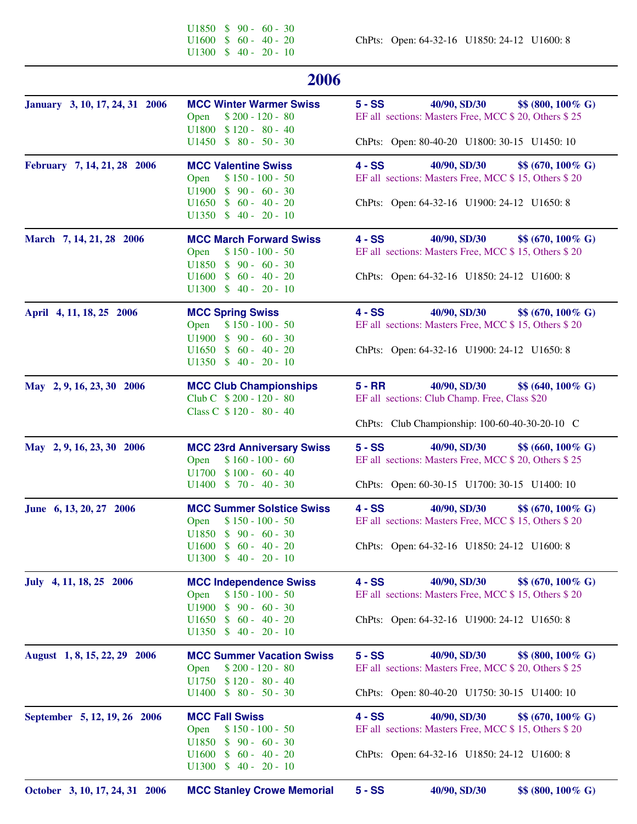U1850  $$ 90 - 60 - 30$ <br>U1600  $$ 60 - 40 - 20$ U1300 \$ 40 - 20 - 10

ChPts: Open: 64-32-16 U1850: 24-12 U1600: 8

| 2006                           |                                                                                                                                                                            |                                                                                                                                                                |  |
|--------------------------------|----------------------------------------------------------------------------------------------------------------------------------------------------------------------------|----------------------------------------------------------------------------------------------------------------------------------------------------------------|--|
| January 3, 10, 17, 24, 31 2006 | <b>MCC Winter Warmer Swiss</b><br>$$200 - 120 - 80$<br>Open<br><b>U1800</b><br>$$120 - 80 - 40$<br>$$80 - 50 - 30$<br>U1450                                                | $5 - SS$<br>\$\$ (800, 100% G)<br>40/90, SD/30<br>EF all sections: Masters Free, MCC \$ 20, Others \$ 25<br>ChPts: Open: 80-40-20 U1800: 30-15 U1450: 10       |  |
| February 7, 14, 21, 28 2006    | <b>MCC Valentine Swiss</b><br>$$150 - 100 - 50$<br>Open<br>$$90 - 60 - 30$<br>U1900<br>$$60 - 40 - 20$<br>U <sub>1650</sub><br>$$40 - 20 - 10$<br>U1350                    | $4 - SS$<br>40/90, SD/30<br>$$6(670, 100\% \text{ G})$$<br>EF all sections: Masters Free, MCC \$15, Others \$20<br>ChPts: Open: 64-32-16 U1900: 24-12 U1650: 8 |  |
| March 7, 14, 21, 28 2006       | <b>MCC March Forward Swiss</b><br>$$150 - 100 - 50$<br>Open<br>U1850<br>$$90 - 60 - 30$<br>$$60 - 40 - 20$<br>U <sub>1600</sub>                                            | $4 - SS$<br>40/90, SD/30<br>$$6(670, 100\% \text{ G})$$<br>EF all sections: Masters Free, MCC \$15, Others \$20<br>ChPts: Open: 64-32-16 U1850: 24-12 U1600: 8 |  |
| April 4, 11, 18, 25 2006       | <b>MCC Spring Swiss</b><br>$$150 - 100 - 50$<br>Open<br>$$90 - 60 - 30$<br>U1900<br>$60 - 40 - 20$<br>$\mathcal{S}$<br>U <sub>1650</sub><br>$U1350 \t $ 40 - 20 - 10$      | 40/90, SD/30<br>$4 - SS$<br>$$6(670, 100\% \text{ G})$$<br>EF all sections: Masters Free, MCC \$15, Others \$20<br>ChPts: Open: 64-32-16 U1900: 24-12 U1650: 8 |  |
| May 2, 9, 16, 23, 30 2006      | <b>MCC Club Championships</b><br>Club C \$200 - 120 - 80<br>Class C \$120 - 80 - 40                                                                                        | $5 - RR$<br>40/90, SD/30<br>$$6(640, 100\% \text{ G})$$<br>EF all sections: Club Champ. Free, Class \$20<br>ChPts: Club Championship: 100-60-40-30-20-10 C     |  |
| May 2, 9, 16, 23, 30 2006      | <b>MCC 23rd Anniversary Swiss</b><br>$$160 - 100 - 60$<br>Open<br>$$100 - 60 - 40$<br><b>U1700</b><br>$U1400 \t $ 70 - 40 - 30$                                            | $5 - SS$<br>40/90, SD/30<br>$$660, 100\% \text{ G}$<br>EF all sections: Masters Free, MCC \$ 20, Others \$ 25<br>ChPts: Open: 60-30-15 U1700: 30-15 U1400: 10  |  |
| June 6, 13, 20, 27 2006        | <b>MCC Summer Solstice Swiss</b><br>$$150 - 100 - 50$<br>Open<br>$U1850 \quad $90 - 60 - 30$<br>$U1600 \t $ 60 - 40 - 20$<br>U1300<br>$$40 - 20 - 10$                      | $4 - SS$<br>40/90, SD/30<br>$$ (670, 100\% \text{ G})$<br>EF all sections: Masters Free, MCC \$15, Others \$20<br>ChPts: Open: 64-32-16 U1850: 24-12 U1600: 8  |  |
| July 4, 11, 18, 25 2006        | <b>MCC Independence Swiss</b><br>$$150 - 100 - 50$<br>Open<br>U1900<br>$$90 - 60 - 30$<br>U <sub>1650</sub><br>$60 - 40 - 20$<br><sup>\$</sup><br>$$40 - 20 - 10$<br>U1350 | $4 - SS$<br>40/90, SD/30<br>\$\$ (670, 100% G)<br>EF all sections: Masters Free, MCC \$15, Others \$20<br>ChPts: Open: 64-32-16 U1900: 24-12 U1650: 8          |  |
| August 1, 8, 15, 22, 29 2006   | <b>MCC Summer Vacation Swiss</b><br>$$200 - 120 - 80$<br>Open<br>$$120 - 80 - 40$<br>U1750<br>$$80 - 50 - 30$<br>U1400                                                     | $5 - SS$<br>40/90, SD/30<br>\$\$ (800, 100% G)<br>EF all sections: Masters Free, MCC \$ 20, Others \$ 25<br>ChPts: Open: 80-40-20 U1750: 30-15 U1400: 10       |  |
| September 5, 12, 19, 26 2006   | <b>MCC Fall Swiss</b><br>$$150 - 100 - 50$<br>Open<br>U1850<br>$$90 - 60 - 30$<br>U1600<br>$60 - 40 - 20$<br><sup>\$</sup><br>$$40 - 20 - 10$<br>U1300                     | $4 - SS$<br>40/90, SD/30<br>$$6(670, 100\% \text{ G})$$<br>EF all sections: Masters Free, MCC \$15, Others \$20<br>ChPts: Open: 64-32-16 U1850: 24-12 U1600: 8 |  |
| October 3, 10, 17, 24, 31 2006 | <b>MCC Stanley Crowe Memorial</b>                                                                                                                                          | $5 - SS$<br>40/90, SD/30<br>\$\$ (800, 100% G)                                                                                                                 |  |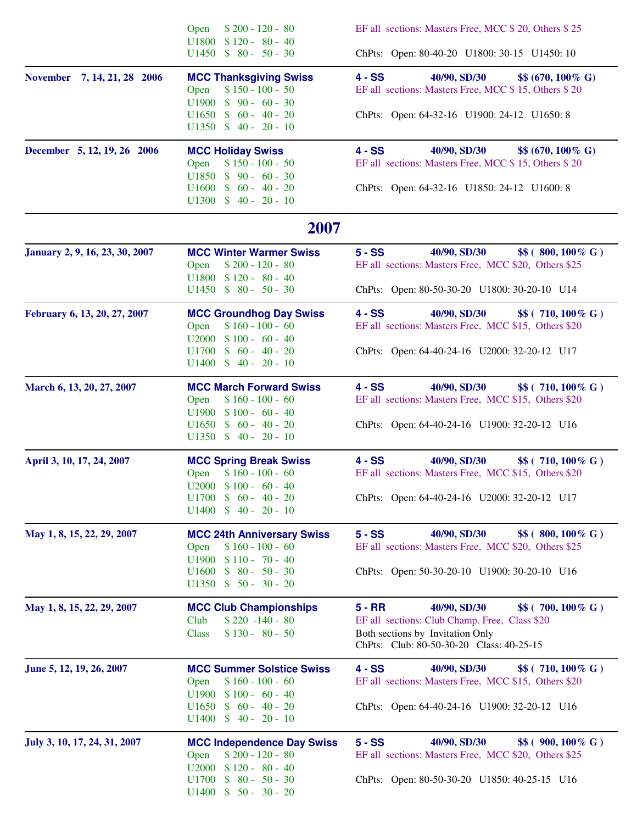|                                | $$200 - 120 - 80$<br>Open                                                                                               | EF all sections: Masters Free, MCC \$ 20, Others \$ 25                                                                                                                          |  |
|--------------------------------|-------------------------------------------------------------------------------------------------------------------------|---------------------------------------------------------------------------------------------------------------------------------------------------------------------------------|--|
|                                | $U1800 \quad $120 - 80 - 40$<br>$U1450 \t $80 - 50 - 30$                                                                | ChPts: Open: 80-40-20 U1800: 30-15 U1450: 10                                                                                                                                    |  |
| November 7, 14, 21, 28 2006    | <b>MCC Thanksgiving Swiss</b><br>$$150 - 100 - 50$<br>Open<br>$$90 - 60 - 30$<br>U1900                                  | 40/90, SD/30<br>$4 - SS$<br>$$ (670, 100\% \text{ G})$<br>EF all sections: Masters Free, MCC \$15, Others \$20                                                                  |  |
|                                | $U1650 \t $ 60 - 40 - 20$<br>$U1350 \t $ 40 - 20 - 10$                                                                  | ChPts: Open: 64-32-16 U1900: 24-12 U1650: 8                                                                                                                                     |  |
| December 5, 12, 19, 26 2006    | <b>MCC Holiday Swiss</b><br>$$150 - 100 - 50$<br>Open<br>$U1850 \t $ 90 - 60 - 30$                                      | $4 - SS$<br>40/90, SD/30<br>$$ (670, 100\% \text{ G})$<br>EF all sections: Masters Free, MCC \$15, Others \$20                                                                  |  |
|                                | $U1600 \t $ 60 - 40 - 20$<br>$U1300 \t $ 40 - 20 - 10$                                                                  | ChPts: Open: 64-32-16 U1850: 24-12 U1600: 8                                                                                                                                     |  |
|                                | 2007                                                                                                                    |                                                                                                                                                                                 |  |
| January 2, 9, 16, 23, 30, 2007 | <b>MCC Winter Warmer Swiss</b><br>Open<br>$$200 - 120 - 80$<br>$U1800 \t $120 - 80 - 40$                                | $5 - SS$<br>40/90, SD/30<br>$$$( 800, 100\% \text{ G})$<br>EF all sections: Masters Free, MCC \$20, Others \$25                                                                 |  |
|                                | $U1450 \t $80 - 50 - 30$                                                                                                | ChPts: Open: 80-50-30-20 U1800: 30-20-10 U14                                                                                                                                    |  |
| February 6, 13, 20, 27, 2007   | <b>MCC Groundhog Day Swiss</b><br>$$160 - 100 - 60$<br>Open<br>$U2000 \quad $100 - 60 - 40$<br>$U1700 \t$ 60 - 40 - 20$ | $4 - SS$<br>40/90, SD/30<br>\$\$ (710, 100% G)<br>EF all sections: Masters Free, MCC \$15, Others \$20<br>ChPts: Open: 64-40-24-16 U2000: 32-20-12 U17                          |  |
|                                | $U1400 \t $ 40 - 20 - 10$                                                                                               |                                                                                                                                                                                 |  |
| March 6, 13, 20, 27, 2007      | <b>MCC March Forward Swiss</b><br>$$160 - 100 - 60$<br>Open<br>$U1900 \t $100 - 60 - 40$                                | 40/90, SD/30<br>$4 - SS$<br>\$\$ (710, 100% G)<br>EF all sections: Masters Free, MCC \$15, Others \$20                                                                          |  |
|                                | $U1650 \t $ 60 - 40 - 20$<br>$U1350 \quad $40 - 20 - 10$                                                                | ChPts: Open: 64-40-24-16 U1900: 32-20-12 U16                                                                                                                                    |  |
| April 3, 10, 17, 24, 2007      | <b>MCC Spring Break Swiss</b><br>$$160 - 100 - 60$<br>Open<br>$U2000 \quad $100 - 60 - 40$                              | $4 - SS$<br>40/90, SD/30<br>\$\$ (710, 100% G)<br>EF all sections: Masters Free, MCC \$15, Others \$20                                                                          |  |
|                                | $U1700 \t $ 60 - 40 - 20$                                                                                               | ChPts: Open: 64-40-24-16 U2000: 32-20-12 U17                                                                                                                                    |  |
| May 1, 8, 15, 22, 29, 2007     | <b>MCC 24th Anniversary Swiss</b><br>$$160 - 100 - 60$<br>Open<br>$U1900 \quad $110 - 70 - 40$                          | 40/90, SD/30<br>$5 - SS$<br>$$$( 800, 100\% \text{ G})$<br>EF all sections: Masters Free, MCC \$20, Others \$25                                                                 |  |
|                                | $U1600 \t $ 80 - 50 - 30$<br>$U1350 \quad $50 - 30 - 20$                                                                | ChPts: Open: 50-30-20-10 U1900: 30-20-10 U16                                                                                                                                    |  |
| May 1, 8, 15, 22, 29, 2007     | <b>MCC Club Championships</b><br>Club<br>$$220 -140 - 80$<br>$$130 - 80 - 50$<br><b>Class</b>                           | $5 - RR$<br>40/90, SD/30<br>\$\$ (700, 100% G)<br>EF all sections: Club Champ. Free, Class \$20<br>Both sections by Invitation Only<br>ChPts: Club: 80-50-30-20 Class: 40-25-15 |  |
| June 5, 12, 19, 26, 2007       | <b>MCC Summer Solstice Swiss</b><br>$$160 - 100 - 60$<br>Open                                                           | $4 - SS$<br>40/90, SD/30<br>\$\$ (710, 100% G)<br>EF all sections: Masters Free, MCC \$15, Others \$20                                                                          |  |
|                                | $U1900 \quad $100 - 60 - 40$<br>$U1400 \quad $40 - 20 - 10$                                                             | ChPts: Open: 64-40-24-16 U1900: 32-20-12 U16                                                                                                                                    |  |
| July 3, 10, 17, 24, 31, 2007   | <b>MCC Independence Day Swiss</b><br>$$200 - 120 - 80$<br>Open<br>$$120 - 80 - 40$<br>U2000                             | $5 - SS$<br>40/90, SD/30<br>\$\$ (900, 100% G)<br>EF all sections: Masters Free, MCC \$20, Others \$25                                                                          |  |
|                                | $$80 - 50 - 30$<br>U1700<br>$U1400 \quad $50 - 30 - 20$                                                                 | ChPts: Open: 80-50-30-20 U1850: 40-25-15 U16                                                                                                                                    |  |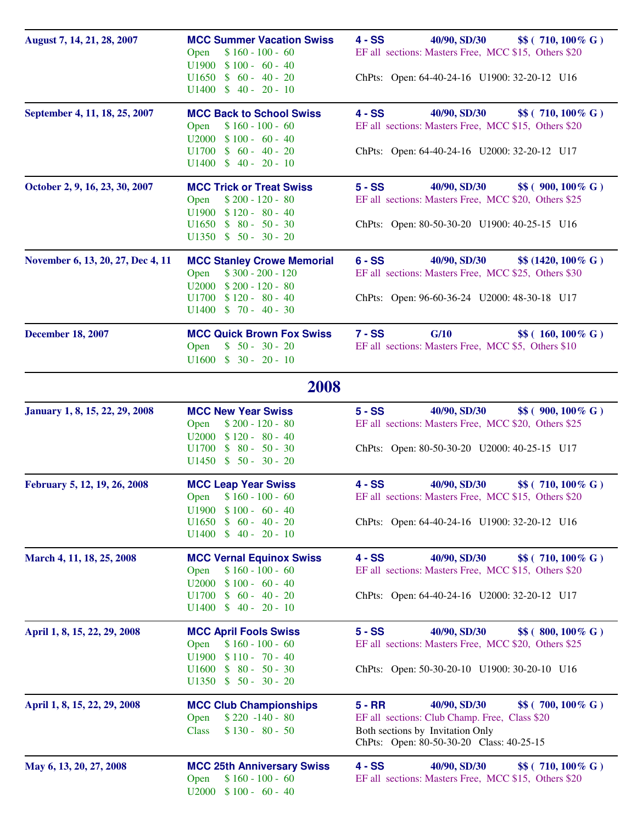| August 7, 14, 21, 28, 2007        | <b>MCC Summer Vacation Swiss</b><br>$$160 - 100 - 60$<br>Open<br>$U1900 \t $100 - 60 - 40$<br>$U1650 \t$ 60 - 40 - 20$<br>$U1400 \t $ 40 - 20 - 10$                 | $4 - SS$<br>40/90, SD/30<br>\$\$ (710, 100% G)<br>EF all sections: Masters Free, MCC \$15, Others \$20<br>ChPts: Open: 64-40-24-16 U1900: 32-20-12 U16                          |
|-----------------------------------|---------------------------------------------------------------------------------------------------------------------------------------------------------------------|---------------------------------------------------------------------------------------------------------------------------------------------------------------------------------|
| September 4, 11, 18, 25, 2007     | <b>MCC Back to School Swiss</b><br>$$160 - 100 - 60$<br>Open<br>$$100 - 60 - 40$<br>U2000<br>$$60 - 40 - 20$<br>U1700<br>$U1400 \t $ 40 - 20 - 10$                  | $4 - SS$<br>40/90, SD/30<br>\$\$ (710, 100% G)<br>EF all sections: Masters Free, MCC \$15, Others \$20<br>ChPts: Open: 64-40-24-16 U2000: 32-20-12 U17                          |
| October 2, 9, 16, 23, 30, 2007    | <b>MCC Trick or Treat Swiss</b><br>$$200 - 120 - 80$<br>Open<br>$U1900 \quad $120 - 80 - 40$<br>$$80 - 50 - 30$<br>U <sub>1650</sub><br>$U1350 \quad $50 - 30 - 20$ | $5 - SS$<br>40/90, SD/30<br>\$\$ (900, 100% G)<br>EF all sections: Masters Free, MCC \$20, Others \$25<br>ChPts: Open: 80-50-30-20 U1900: 40-25-15 U16                          |
| November 6, 13, 20, 27, Dec 4, 11 | <b>MCC Stanley Crowe Memorial</b><br>$$300 - 200 - 120$<br>Open<br>$U2000 \quad $200 - 120 - 80$<br>$$120 - 80 - 40$<br>U1700<br>$U1400 \t $ 70 - 40 - 30$          | $6 - SS$<br>40/90, SD/30<br>$$ (1420, 100\% \text{ G})$<br>EF all sections: Masters Free, MCC \$25, Others \$30<br>ChPts: Open: 96-60-36-24 U2000: 48-30-18 U17                 |
| <b>December 18, 2007</b>          | <b>MCC Quick Brown Fox Swiss</b><br>$$50 - 30 - 20$<br>Open<br>$U1600 \t $ 30 - 20 - 10$                                                                            | G/10<br>$7 - SS$<br>\$\$ (160, 100% G)<br>EF all sections: Masters Free, MCC \$5, Others \$10                                                                                   |
|                                   | 2008                                                                                                                                                                |                                                                                                                                                                                 |
| January 1, 8, 15, 22, 29, 2008    | <b>MCC New Year Swiss</b><br>$$200 - 120 - 80$<br>Open<br>$U2000 \quad $120 - 80 - 40$<br>$$80 - 50 - 30$<br>U1700<br>$U1450 \quad $50 - 30 - 20$                   | $5 - SS$<br>40/90, SD/30<br>\$\$ (900, 100% G)<br>EF all sections: Masters Free, MCC \$20, Others \$25<br>ChPts: Open: 80-50-30-20 U2000: 40-25-15 U17                          |
| February 5, 12, 19, 26, 2008      | <b>MCC Leap Year Swiss</b><br>Open \$160 - 100 - 60<br>$U1900 \quad $100 - 60 - 40$<br>$U1650 \t $ 60 - 40 - 20$<br>$U1400 \t $ 40 - 20 - 10$                       | 40/90, SD/30<br>$4 - SS$<br>\$\$ (710, 100% G)<br>EF all sections: Masters Free, MCC \$15, Others \$20<br>ChPts: Open: 64-40-24-16 U1900: 32-20-12 U16                          |
| March 4, 11, 18, 25, 2008         | <b>MCC Vernal Equinox Swiss</b><br>$$160 - 100 - 60$<br>Open<br>$U2000 \quad $100 - 60 - 40$<br>$U1700 \t$ 60 - 40 - 20$<br>$U1400 \t $ 40 - 20 - 10$               | 40/90, SD/30<br>$4 - SS$<br>\$\$ (710, 100% G)<br>EF all sections: Masters Free, MCC \$15, Others \$20<br>ChPts: Open: 64-40-24-16 U2000: 32-20-12 U17                          |
| April 1, 8, 15, 22, 29, 2008      | <b>MCC April Fools Swiss</b><br>Open<br>$$160 - 100 - 60$<br>$U1900 \quad $110 - 70 - 40$<br>U <sub>1600</sub><br>$$80 - 50 - 30$<br>$U1350 \quad $50 - 30 - 20$    | $5 - SS$<br>40/90, SD/30<br>\$\$ (800, 100% G)<br>EF all sections: Masters Free, MCC \$20, Others \$25<br>ChPts: Open: 50-30-20-10 U1900: 30-20-10 U16                          |
| April 1, 8, 15, 22, 29, 2008      | <b>MCC Club Championships</b><br>$$220 -140 - 80$<br>Open<br>$$130 - 80 - 50$<br><b>Class</b>                                                                       | $5 - RR$<br>40/90, SD/30<br>\$\$ (700, 100% G)<br>EF all sections: Club Champ. Free, Class \$20<br>Both sections by Invitation Only<br>ChPts: Open: 80-50-30-20 Class: 40-25-15 |
| May 6, 13, 20, 27, 2008           | <b>MCC 25th Anniversary Swiss</b><br>$$160 - 100 - 60$<br>Open<br>$U2000 \quad $100 - 60 - 40$                                                                      | $4 - SS$<br>40/90, SD/30<br>\$\$ (710, 100% G)<br>EF all sections: Masters Free, MCC \$15, Others \$20                                                                          |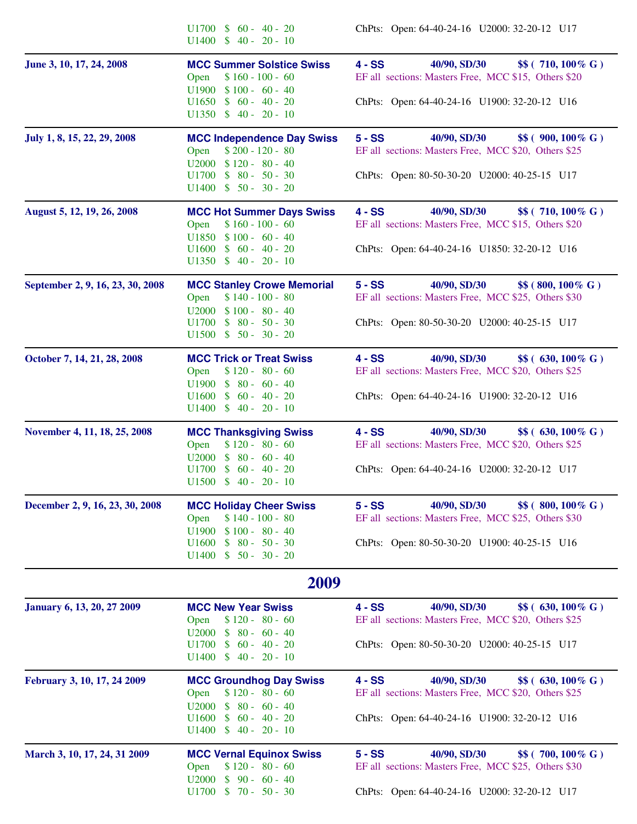|                                   | $U1700 \t$ 60 - 40 - 20$<br>$U1400 \t $ 40 - 20 - 10$                                                                                                       | ChPts: Open: 64-40-24-16 U2000: 32-20-12 U17                                                                                                           |
|-----------------------------------|-------------------------------------------------------------------------------------------------------------------------------------------------------------|--------------------------------------------------------------------------------------------------------------------------------------------------------|
| June 3, 10, 17, 24, 2008          | <b>MCC Summer Solstice Swiss</b><br>$$160 - 100 - 60$<br>Open<br>$U1900 \t $100 - 60 - 40$<br>$U1650 \t$ 60 - 40 - 20$<br>$U1350 \quad $40 - 20 - 10$       | 40/90, SD/30<br>$4 - SS$<br>\$\$ (710, 100% G)<br>EF all sections: Masters Free, MCC \$15, Others \$20<br>ChPts: Open: 64-40-24-16 U1900: 32-20-12 U16 |
| July 1, 8, 15, 22, 29, 2008       | <b>MCC Independence Day Swiss</b><br>Open<br>$$200 - 120 - 80$<br>$U2000 \quad $120 - 80 - 40$<br>$$80 - 50 - 30$<br>U1700<br>$U1400 \t $ 50 - 30 - 20$     | 40/90, SD/30<br>$5 - SS$<br>\$\$ (900, 100% G)<br>EF all sections: Masters Free, MCC \$20, Others \$25<br>ChPts: Open: 80-50-30-20 U2000: 40-25-15 U17 |
| August 5, 12, 19, 26, 2008        | <b>MCC Hot Summer Days Swiss</b><br>$$160 - 100 - 60$<br>Open<br>$$100 - 60 - 40$<br>U1850<br>$U1600 \t $ 60 - 40 - 20$<br>$U1350 \t$ 40 - 20 - 10$         | 40/90, SD/30<br>$4 - SS$<br>\$\$ (710, 100% G)<br>EF all sections: Masters Free, MCC \$15, Others \$20<br>ChPts: Open: 64-40-24-16 U1850: 32-20-12 U16 |
| September 2, 9, 16, 23, 30, 2008  | <b>MCC Stanley Crowe Memorial</b><br>$$140 - 100 - 80$<br>Open<br>$U2000 \quad $100 - 80 - 40$<br>$$80 - 50 - 30$<br>U1700<br>$U1500 \t $ 50 - 30 - 20$     | $5 - SS$<br>40/90, SD/30<br>\$\$ (800, 100% G)<br>EF all sections: Masters Free, MCC \$25, Others \$30<br>ChPts: Open: 80-50-30-20 U2000: 40-25-15 U17 |
| October 7, 14, 21, 28, 2008       | <b>MCC Trick or Treat Swiss</b><br>$$120 - 80 - 60$<br>Open<br>U1900<br>$$80 - 60 - 40$<br>$$60 - 40 - 20$<br>U1600<br>$U1400 \t $ 40 - 20 - 10$            | 40/90, SD/30<br>\$\$ (630, 100% G)<br>$4 - SS$<br>EF all sections: Masters Free, MCC \$20, Others \$25<br>ChPts: Open: 64-40-24-16 U1900: 32-20-12 U16 |
| November 4, 11, 18, 25, 2008      | <b>MCC Thanksgiving Swiss</b><br>$$120 - 80 - 60$<br>Open<br>U2000<br>$$80 - 60 - 40$<br>U1700<br>$$60 - 40 - 20$<br>$U1500 \t\t $ 40 - 20 - 10$            | 40/90, SD/30<br>$4 - SS$<br>\$\$ (630, 100% G)<br>EF all sections: Masters Free, MCC \$20, Others \$25<br>ChPts: Open: 64-40-24-16 U2000: 32-20-12 U17 |
| December 2, 9, 16, 23, 30, 2008   | <b>MCC Holiday Cheer Swiss</b><br>$$140 - 100 - 80$<br>Open<br>$$100 - 80 - 40$<br>U1900<br>$$80 - 50 - 30$<br>U1600<br>$U1400 \quad $50 - 30 - 20$         | $5 - SS$<br>40/90, SD/30<br>\$\$ (800, 100% G)<br>EF all sections: Masters Free, MCC \$25, Others \$30<br>ChPts: Open: 80-50-30-20 U1900: 40-25-15 U16 |
|                                   | 2009                                                                                                                                                        |                                                                                                                                                        |
| <b>January 6, 13, 20, 27 2009</b> | <b>MCC New Year Swiss</b><br>$$120 - 80 - 60$<br>Open<br>U2000<br>$$80 - 60 - 40$<br>$U1700 \t$ 60 - 40 - 20$<br>$U1400 \t\t $ 40 - 20 - 10$                | $4 - SS$<br>40/90, SD/30<br>\$\$ (630, 100% G)<br>EF all sections: Masters Free, MCC \$20, Others \$25<br>ChPts: Open: 80-50-30-20 U2000: 40-25-15 U17 |
| February 3, 10, 17, 24 2009       | <b>MCC Groundhog Day Swiss</b><br>$$120 - 80 - 60$<br>Open<br>$$80 - 60 - 40$<br>U <sub>2000</sub><br>U1600<br>$$60 - 40 - 20$<br>$U1400 \t $ 40 - 20 - 10$ | $4 - SS$<br>40/90, SD/30<br>\$\$ (630, 100% G)<br>EF all sections: Masters Free, MCC \$20, Others \$25<br>ChPts: Open: 64-40-24-16 U1900: 32-20-12 U16 |
| March 3, 10, 17, 24, 31 2009      | <b>MCC Vernal Equinox Swiss</b><br>$$120 - 80 - 60$<br>Open<br>$$90 - 60 - 40$<br>U <sub>2000</sub><br>$U1700 \t $ 70 - 50 - 30$                            | $5 - SS$<br>40/90, SD/30<br>\$\$ (700, 100% G)<br>EF all sections: Masters Free, MCC \$25, Others \$30<br>ChPts: Open: 64-40-24-16 U2000: 32-20-12 U17 |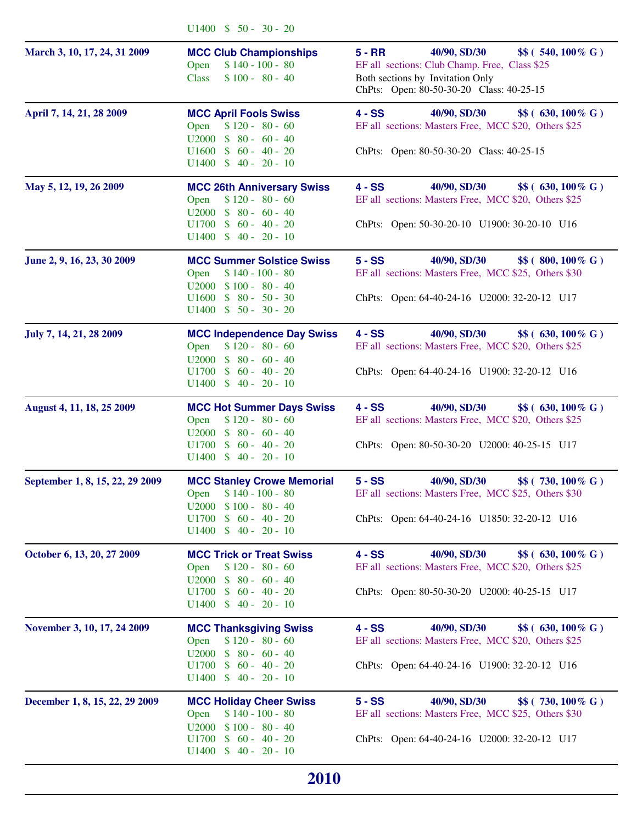|                                 | $U1400 \t\t $ 50 - 30 - 20$                                                                                                                                   |                                                                                                                                                                                 |
|---------------------------------|---------------------------------------------------------------------------------------------------------------------------------------------------------------|---------------------------------------------------------------------------------------------------------------------------------------------------------------------------------|
| March 3, 10, 17, 24, 31 2009    | <b>MCC Club Championships</b><br>$$140 - 100 - 80$<br>Open<br>$$100 - 80 - 40$<br><b>Class</b>                                                                | $5 - RR$<br>40/90, SD/30<br>\$\$ (540, 100% G)<br>EF all sections: Club Champ. Free, Class \$25<br>Both sections by Invitation Only<br>ChPts: Open: 80-50-30-20 Class: 40-25-15 |
| April 7, 14, 21, 28 2009        | <b>MCC April Fools Swiss</b><br>$$120 - 80 - 60$<br>Open<br>$U2000 \t $ 80 - 60 - 40$<br>$U1600 \t $ 60 - 40 - 20$<br>$U1400 \t $ 40 - 20 - 10$               | $4 - SS$<br>40/90, SD/30<br>\$\$ (630, 100% G)<br>EF all sections: Masters Free, MCC \$20, Others \$25<br>ChPts: Open: 80-50-30-20 Class: 40-25-15                              |
| May 5, 12, 19, 26 2009          | <b>MCC 26th Anniversary Swiss</b><br>Open<br>$$120 - 80 - 60$<br>$U2000 \t $ 80 - 60 - 40$<br>$U1400 \t $ 40 - 20 - 10$                                       | \$\$ (630, 100% G)<br>$4 - SS$<br>40/90, SD/30<br>EF all sections: Masters Free, MCC \$20, Others \$25<br>ChPts: Open: 50-30-20-10 U1900: 30-20-10 U16                          |
| June 2, 9, 16, 23, 30 2009      | <b>MCC Summer Solstice Swiss</b><br>$$140 - 100 - 80$<br>Open<br>$U2000 \quad $100 - 80 - 40$<br>$U1600 \t $ 80 - 50 - 30$<br>$U1400 \t $ 50 - 30 - 20$       | $5 - SS$<br>40/90, SD/30<br>\$\$ (800, 100% G)<br>EF all sections: Masters Free, MCC \$25, Others \$30<br>ChPts: Open: 64-40-24-16 U2000: 32-20-12 U17                          |
| July 7, 14, 21, 28 2009         | <b>MCC Independence Day Swiss</b><br>$$120 - 80 - 60$<br>Open<br>$$80 - 60 - 40$<br>U2000<br>$U1700 \t$ 60 - 40 - 20$<br>$U1400 \t $ 40 - 20 - 10$            | $4 - SS$<br>40/90, SD/30<br>\$\$ (630, 100% G)<br>EF all sections: Masters Free, MCC \$20, Others \$25<br>ChPts: Open: 64-40-24-16 U1900: 32-20-12 U16                          |
| August 4, 11, 18, 25 2009       | <b>MCC Hot Summer Days Swiss</b><br>$$120 - 80 - 60$<br>Open<br>$$80 - 60 - 40$<br>U2000<br>$U1700 \t$ 60 - 40 - 20$<br>$U1400 \t $ 40 - 20 - 10$             | $4 - SS$<br>40/90, SD/30<br>\$\$ (630, 100% G)<br>EF all sections: Masters Free, MCC \$20, Others \$25<br>ChPts: Open: 80-50-30-20 U2000: 40-25-15 U17                          |
| September 1, 8, 15, 22, 29 2009 | <b>MCC Stanley Crowe Memorial</b><br>$$140 - 100 - 80$<br>Open<br>$U2000 \quad $100 - 80 - 40$<br>$U1700 \t$ 60 - 40 - 20$                                    | $5 - SS$<br>40/90, SD/30<br>\$\$ (730, 100% G)<br>EF all sections: Masters Free, MCC \$25, Others \$30<br>ChPts: Open: 64-40-24-16 U1850: 32-20-12 U16                          |
| October 6, 13, 20, 27 2009      | <b>MCC Trick or Treat Swiss</b><br>$$120 - 80 - 60$<br>Open<br>U2000<br>$$80 - 60 - 40$<br>$U1700 \t$ 60 - 40 - 20$<br>$U1400 \t $ 40 - 20 - 10$              | $4 - SS$<br>40/90, SD/30<br>\$\$ (630, 100% G)<br>EF all sections: Masters Free, MCC \$20, Others \$25<br>ChPts: Open: 80-50-30-20 U2000: 40-25-15 U17                          |
| November 3, 10, 17, 24 2009     | <b>MCC Thanksgiving Swiss</b><br>$$120 - 80 - 60$<br>Open<br>$$80 - 60 - 40$<br>U <sub>2000</sub><br>$U1700 \t $ 60 - 40 - 20$<br>$U1400 \t\t $ 40 - 20 - 10$ | $4 - SS$<br>40/90, SD/30<br>\$\$ (630, 100% G)<br>EF all sections: Masters Free, MCC \$20, Others \$25<br>ChPts: Open: 64-40-24-16 U1900: 32-20-12 U16                          |
| December 1, 8, 15, 22, 29 2009  | <b>MCC Holiday Cheer Swiss</b><br>$$140 - 100 - 80$<br>Open<br>$$100 - 80 - 40$<br>U <sub>2000</sub><br>$$60 - 40 - 20$<br>U1700<br>$U1400 \t $ 40 - 20 - 10$ | $5 - SS$<br>40/90, SD/30<br>\$\$ (730, 100% G)<br>EF all sections: Masters Free, MCC \$25, Others \$30<br>ChPts: Open: 64-40-24-16 U2000: 32-20-12 U17                          |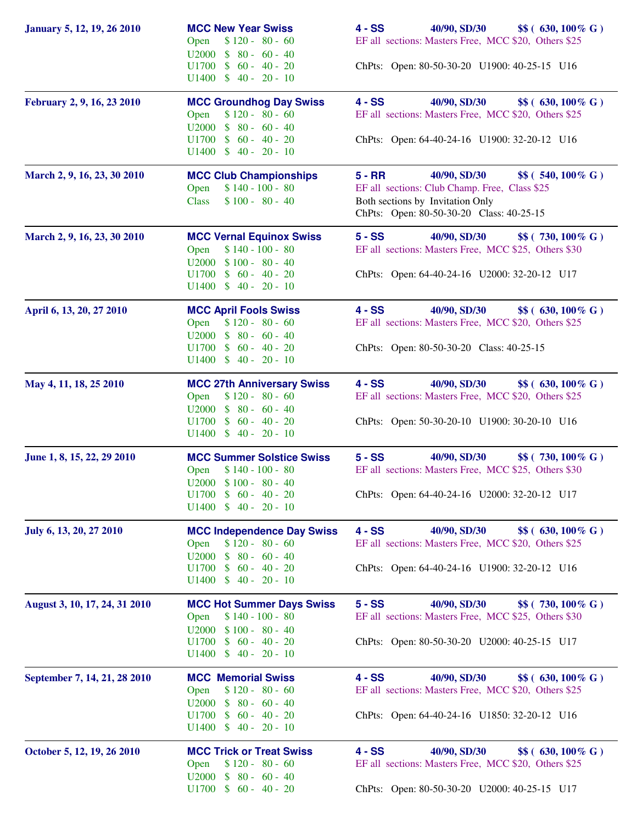| <b>January 5, 12, 19, 26 2010</b> | <b>MCC New Year Swiss</b><br>$$120 - 80 - 60$<br>Open<br>$U2000 \t $ 80 - 60 - 40$<br>$U1700 \t$ 60 - 40 - 20$<br>$U1400 \t $ 40 - 20 - 10$               | 40/90, SD/30<br>\$\$ (630, 100% G)<br>4 - SS<br>EF all sections: Masters Free, MCC \$20, Others \$25<br>ChPts: Open: 80-50-30-20 U1900: 40-25-15 U16                            |
|-----------------------------------|-----------------------------------------------------------------------------------------------------------------------------------------------------------|---------------------------------------------------------------------------------------------------------------------------------------------------------------------------------|
| February 2, 9, 16, 23 2010        | <b>MCC Groundhog Day Swiss</b><br>$$120 - 80 - 60$<br>Open<br>$U2000 \t $ 80 - 60 - 40$<br>$U1400 \t $ 40 - 20 - 10$                                      | $4 - SS$<br>40/90, SD/30<br>\$\$ (630, 100% G)<br>EF all sections: Masters Free, MCC \$20, Others \$25<br>ChPts: Open: 64-40-24-16 U1900: 32-20-12 U16                          |
| March 2, 9, 16, 23, 30 2010       | <b>MCC Club Championships</b><br>$$140 - 100 - 80$<br>Open<br>$$100 - $80 - 40$<br><b>Class</b>                                                           | 40/90, SD/30<br>\$\$ (540, 100% G)<br>$5 - RR$<br>EF all sections: Club Champ. Free, Class \$25<br>Both sections by Invitation Only<br>ChPts: Open: 80-50-30-20 Class: 40-25-15 |
| March 2, 9, 16, 23, 30 2010       | <b>MCC Vernal Equinox Swiss</b><br>$$140 - 100 - 80$<br>Open<br>$U2000 \quad $100 - 80 - 40$<br>$U1700 \t $ 60 - 40 - 20$<br>$U1400 \t $ 40 - 20 - 10$    | 40/90, SD/30<br>$5 - SS$<br>\$\$ (730, 100% G)<br>EF all sections: Masters Free, MCC \$25, Others \$30<br>ChPts: Open: 64-40-24-16 U2000: 32-20-12 U17                          |
| April 6, 13, 20, 27 2010          | <b>MCC April Fools Swiss</b><br>$$120 - 80 - 60$<br>Open<br>$U2000 \t $ 80 - 60 - 40$<br>$U1700 \t $ 60 - 40 - 20$<br>$U1400 \t $ 40 - 20 - 10$           | 40/90, SD/30<br>$4 - SS$<br>$$$(630, 100\% \text{ G})$<br>EF all sections: Masters Free, MCC \$20, Others \$25<br>ChPts: Open: 80-50-30-20 Class: 40-25-15                      |
| May 4, 11, 18, 25 2010            | <b>MCC 27th Anniversary Swiss</b><br>$$120 - 80 - 60$<br>Open<br>$U2000 \t $ 80 - 60 - 40$<br>$U1700 \t $60 - 40 - 20$<br>$U1400 \t $ 40 - 20 - 10$       | $4 - SS$<br>40/90, SD/30<br>\$\$ (630, 100% G)<br>EF all sections: Masters Free, MCC \$20, Others \$25<br>ChPts: Open: 50-30-20-10 U1900: 30-20-10 U16                          |
| June 1, 8, 15, 22, 29 2010        | <b>MCC Summer Solstice Swiss</b><br>$$140 - 100 - 80$<br>Open<br>$U2000 \t $100 - 80 - 40$<br>$U1700 \t$ 60 - 40 - 20$<br>$U1400 \t$ 40 - 20 - 10$        | $5 - SS$<br>40/90, SD/30<br>\$\$ (730, 100% G)<br>EF all sections: Masters Free, MCC \$25, Others \$30<br>ChPts: Open: 64-40-24-16 U2000: 32-20-12 U17                          |
| July 6, 13, 20, 27 2010           | <b>MCC Independence Day Swiss</b><br>$$120 - 80 - 60$<br>Open<br>$U2000 \t $ 80 - 60 - 40$<br>$U1700 \t $ 60 - 40 - 20$<br>$U1400 \t$ 40 - 20 - 10$       | $4 - SS$<br>40/90, SD/30<br>\$\$ (630, 100% G)<br>EF all sections: Masters Free, MCC \$20, Others \$25<br>ChPts: Open: 64-40-24-16 U1900: 32-20-12 U16                          |
| August 3, 10, 17, 24, 31 2010     | <b>MCC Hot Summer Days Swiss</b><br>$$140 - 100 - 80$<br>Open<br>$U2000 \quad $100 - 80 - 40$<br>$U1700 \t $ 60 - 40 - 20$<br>$U1400 \quad $40 - 20 - 10$ | $5 - SS$<br>40/90, SD/30<br>\$\$ (730, 100% G)<br>EF all sections: Masters Free, MCC \$25, Others \$30<br>ChPts: Open: 80-50-30-20 U2000: 40-25-15 U17                          |
| September 7, 14, 21, 28 2010      | <b>MCC Memorial Swiss</b><br>$$120 - 80 - 60$<br>Open<br>U2000<br>$$80 - 60 - 40$<br>$U1700 \t $ 60 - 40 - 20$<br>$U1400 \t $ 40 - 20 - 10$               | $4 - SS$<br>40/90, SD/30<br>\$\$ (630, 100% G)<br>EF all sections: Masters Free, MCC \$20, Others \$25<br>ChPts: Open: 64-40-24-16 U1850: 32-20-12 U16                          |
| October 5, 12, 19, 26 2010        | <b>MCC Trick or Treat Swiss</b><br>$$120 - 80 - 60$<br>Open<br>$$80 - 60 - 40$<br><b>U2000</b><br>$U1700 \t $ 60 - 40 - 20$                               | $4 - SS$<br>40/90, SD/30<br>\$\$ (630, 100% G)<br>EF all sections: Masters Free, MCC \$20, Others \$25<br>ChPts: Open: 80-50-30-20 U2000: 40-25-15 U17                          |